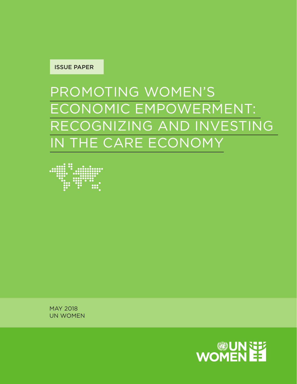

# PROMOTING WOMEN'S ECONOMIC EMPOWERMENT: RECOGNIZING AND INVESTING IN THE CARE ECONOMY



MAY 2018 UN WOMEN

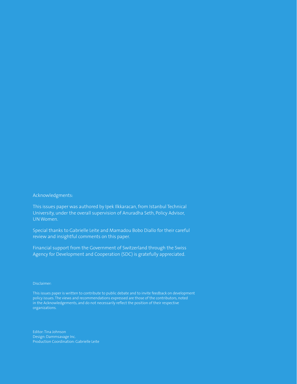#### Acknowledgments:

This issues paper was authored by Ipek Ilkkaracan, from Istanbul Technical University, under the overall supervision of Anuradha Seth, Policy Advisor, UN Women.

Special thanks to Gabrielle Leite and Mamadou Bobo Diallo for their careful review and insightful comments on this paper.

Financial support from the Government of Switzerland through the Swiss Agency for Development and Cooperation (SDC) is gratefully appreciated.

#### Disclaimer:

This issues paper is written to contribute to public debate and to invite feedback on development policy issues. The views and recommendations expressed are those of the contributors, noted in the Acknowledgements, and do not necessarily reflect the position of their respective organizations.

Editor: Tina Johnson Design: Dammsavage Inc. Production Coordination: Gabrielle Leite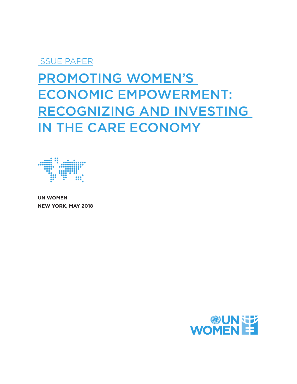# ISSUE PAPER

# PROMOTING WOMEN'S ECONOMIC EMPOWERMENT: RECOGNIZING AND INVESTING IN THE CARE ECONOMY



**UN WOMEN NEW YORK, MAY 2018**

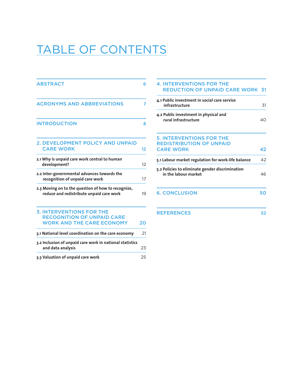# TABLE OF CONTENTS

| <b>ABSTRACT</b>                                                                                          | 6  |
|----------------------------------------------------------------------------------------------------------|----|
| <b>ACRONYMS AND ABBREVIATIONS</b>                                                                        | 7  |
| <b>INTRODUCTION</b>                                                                                      | 8  |
| 2. DEVELOPMENT POLICY AND UNPAID<br><b>CARE WORK</b>                                                     | 12 |
| 2.1 Why is unpaid care work central to human<br>development?                                             | 12 |
| 2.2 Inter-governmental advances towards the<br>recognition of unpaid care work                           | 17 |
| 2.3 Moving on to the question of how to recognize,<br>reduce and redistribute unpaid care work           | 19 |
| <b>3. INTERVENTIONS FOR THE</b><br><b>RECOGNITION OF UNPAID CARE</b><br><b>WORK AND THE CARE ECONOMY</b> | 20 |
| 3.1 National level coordination on the care economy                                                      | 21 |
| 3.2 Inclusion of unpaid care work in national statistics<br>and data analysis                            | 23 |
| 3.3 Valuation of unpaid care work                                                                        | 25 |

| <b>4. INTERVENTIONS FOR THE</b><br><b>REDUCTION OF UNPAID CARE WORK 31</b>             |    |
|----------------------------------------------------------------------------------------|----|
| 4.1 Public investment in social care service<br>infrastructure                         | 31 |
| 4.2 Public investment in physical and<br>rural infrastructure                          | 40 |
| <b>5. INTERVENTIONS FOR THE</b><br><b>REDISTRIBUTION OF UNPAID</b><br><b>CARE WORK</b> | 42 |
| 5.1 Labour market regulation for work-life balance                                     | 42 |
| 5.2 Policies to eliminate gender discrimination<br>in the labour market                | 46 |
| <b>6. CONCLUSION</b>                                                                   | 50 |
| <b>REFERENCES</b>                                                                      | 52 |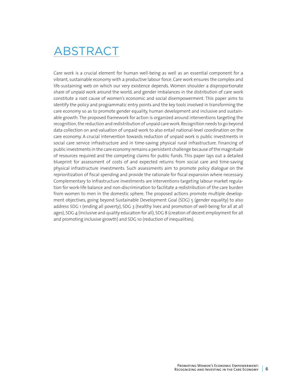# ABSTRACT

Care work is a crucial element for human well-being as well as an essential component for a vibrant, sustainable economy with a productive labour force. Care work ensures the complex and life-sustaining web on which our very existence depends. Women shoulder a disproportionate share of unpaid work around the world, and gender imbalances in the distribution of care work constitute a root cause of women's economic and social disempowerment. This paper aims to identify the policy and programmatic entry points and the key tools involved in transforming the care economy so as to promote gender equality, human development and inclusive and sustainable growth. The proposed framework for action is organized around interventions targeting the recognition, the reduction and redistribution of unpaid care work. Recognition needs to go beyond data collection on and valuation of unpaid work to also entail national-level coordination on the care economy. A crucial intervention towards reduction of unpaid work is public investments in social care service infrastructure and in time-saving physical rural infrastructure. Financing of public investments in the care economy remains a persistent challenge because of the magnitude of resources required and the competing claims for public funds. This paper lays out a detailed blueprint for assessment of costs of and expected returns from social care and time-saving physical infrastructure investments. Such assessments aim to promote policy dialogue on the reprioritization of fiscal spending and provide the rationale for fiscal expansion where necessary. Complementary to infrastructure investments are interventions targeting labour market regulation for work-life balance and non-discrimination to facilitate a redistribution of the care burden from women to men in the domestic sphere. The proposed actions promote multiple development objectives, going beyond Sustainable Development Goal (SDG) 5 (gender equality) to also address SDG 1 (ending all poverty), SDG 3 (healthy lives and promotion of well-being for all at all ages), SDG 4 (inclusive and quality education for all), SDG 8 (creation of decent employment for all and promoting inclusive growth) and SDG 10 (reduction of inequalities).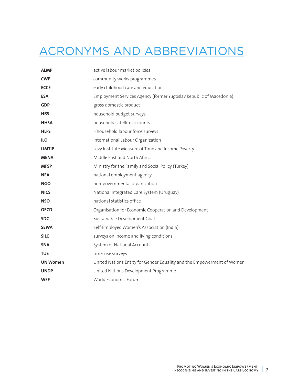# ACRONYMS AND ABBREVIATIONS

| <b>ALMP</b>     | active labour market policies                                          |
|-----------------|------------------------------------------------------------------------|
| <b>CWP</b>      | community works programmes                                             |
| <b>ECCE</b>     | early childhood care and education                                     |
| <b>ESA</b>      | Employment Services Agency (former Yugoslav Republic of Macedonia)     |
| <b>GDP</b>      | gross domestic product                                                 |
| <b>HBS</b>      | household budget surveys                                               |
| <b>HHSA</b>     | household satellite accounts                                           |
| <b>HLFS</b>     | Hhousehold labour force surveys                                        |
| <b>ILO</b>      | International Labour Organization                                      |
| <b>LIMTIP</b>   | Levy Institute Measure of Time and Income Poverty                      |
| <b>MENA</b>     | Middle East and North Africa                                           |
| <b>MFSP</b>     | Ministry for the Family and Social Policy (Turkey)                     |
| <b>NEA</b>      | national employment agency                                             |
| <b>NGO</b>      | non-governmental organization                                          |
| <b>NICS</b>     | National Integrated Care System (Uruguay)                              |
| <b>NSO</b>      | national statistics office                                             |
| <b>OECD</b>     | Organisation for Economic Cooperation and Development                  |
| <b>SDG</b>      | Sustainable Development Goal                                           |
| <b>SEWA</b>     | Self-Employed Women's Association (India)                              |
| <b>SILC</b>     | surveys on income and living conditions                                |
| <b>SNA</b>      | System of National Accounts                                            |
| <b>TUS</b>      | time-use surveys                                                       |
| <b>UN Women</b> | United Nations Entity for Gender Equality and the Empowerment of Women |
| <b>UNDP</b>     | United Nations Development Programme                                   |
| <b>WEF</b>      | World Economic Forum                                                   |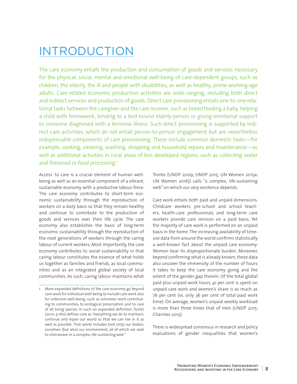# INTRODUCTION

The care economy entails the production and consumption of goods and services necessary for the physical, social, mental and emotional well-being of care-dependent groups, such as children, the elderly, the ill and people with disabilities, as well as healthy, prime working-age adults. Care-related economic production activities are wide-ranging, including both direct and indirect services and production of goods. Direct care provisioning entails one-to-one relational tasks between the caregiver and the care receiver, such as breastfeeding a baby, helping a child with homework, tending to a bed-bound elderly person or giving emotional support to someone diagnosed with a terminal illness. Such direct provisioning is supported by indirect care activities, which do not entail person-to-person engagement but are nevertheless indispensable components of care provisioning. These include common domestic tasks—for example, cooking, cleaning, washing, shopping and household repairs and maintenance—as well as additional activities in rural areas of less developed regions, such as collecting water and firewood or food processing.<sup>1</sup>

Access to care is a crucial element of human wellbeing as well as an essential component of a vibrant, sustainable economy with a productive labour force. The care economy contributes to short-term economic sustainability through the reproduction of workers on a daily basis so that they remain healthy and continue to contribute to the production of goods and services over their life cycle. The care economy also establishes the basis of long-term economic sustainability through the reproduction of the next generations of workers through the caring labour of current workers. Most importantly, the care economy contributes to social sustainability in that caring labour constitutes the essence of what holds us together as families and friends, as local communities and as an integrated global society of local communities. As such, caring labour maintains what

Tronto (UNDP 2009; UNDP 2015; UN Women 2015a; UN Women 2016)) calls "a complex, life-sustaining web" on which our very existence depends.

Care work entails both paid and unpaid dimensions. Childcare workers, pre-school and school teachers, health-care professionals and long-term care workers provide care services on a paid basis. Yet the majority of care work is performed on an unpaid basis in the home. The increasing availability of timeuse data from around the world confirms statistically a well-known fact about the unpaid care economy: Women bear its disproportionate burden. Moreover, beyond confirming what is already known, these data also uncover the immensity of the number of hours it takes to keep the care economy going and the extent of the gender gap therein. Of the total global paid plus unpaid work hours, 41 per cent is spent on unpaid care work and women's share is as much as 76 per cent (vs. only 36 per cent of total paid work time). On average, women's unpaid weekly workload is more than three times that of men (UNDP 2015; Charmes 2015).

There is widespread consensus in research and policy evaluations of gender inequalities that women's

<sup>1</sup> More expanded definitions of the care economy go beyond care work for individual well-being to include care work also for collective well-being, such as volunteer work contributing to communities, to ecological preservation and to care of all living species. In such an expanded definition Tronto (2010: p.160) defines care as "everything we do to maintain, continue and repair our world so that we can live in it as well as possible. That world includes (not only) our bodies, ourselves (but also) our environment, all of which we seek to interweave in a complex, life-sustaining web."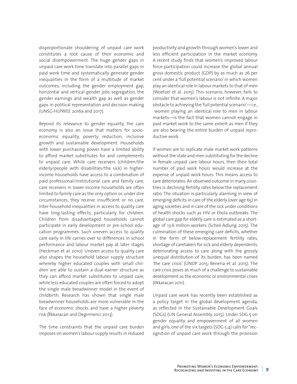disproportionate shouldering of unpaid care work constitutes a root cause of their economic and social disempowerment. The huge gender gaps in unpaid care work time translate into parallel gaps in paid work time and systematically generate gender inequalities in the form of a multitude of market outcomes, including the gender employment gap, horizontal and vertical gender jobs segregation, the gender earnings and wealth gap as well as gender gaps in political representation and decision-making (UNSG-HLPWEE 2016a and 2017).

Beyond its relevance to gender equality, the care economy is also an issue that matters for socioeconomic equality, poverty reduction, inclusive growth and sustainable development. Households with lower purchasing power have a limited ability to afford market substitutes for and complements to unpaid care. While care receivers (children/the elderly/people with disabilities/the sick) in higherincome households have access to a combination of paid professional/institutional care and family care, care receivers in lower-income households are often limited to family care as the only option or, under dire circumstances, they receive insufficient or no care. Inter-household inequalities in access to quality care have long-lasting effects, particularly for children. Children from disadvantaged households cannot participate in early development or pre-school education programmes. Such uneven access to quality care early in life carries over to differences in school performance and labour market pay at later stages (Heckman et al. 2010). Uneven access to quality care also shapes the household labour supply structure whereby higher educated couples with small children are able to sustain a dual-earner structure as they can afford market substitutes to unpaid care, while less educated couples are often forced to adopt the single male breadwinner model in the event of childbirth. Research has shown that single male breadwinner households are more vulnerable in the face of economic shocks and have a higher poverty risk (İlkkaracan and Degirmenci 2013).

The time constraints that the unpaid care burden imposes on women's labour supply results in reduced

productivity and growth through women's lower and less efficient participation in the market economy. A recent study finds that women's improved labour force participation could increase the global annual gross domestic product (GDP) by as much as 26 per cent under a 'full potential scenario' in which women play an identical role in labour markets to that of men (Woetzel et al. 2015). This scenario, however, fails to consider that women's labour is not infinite. A major obstacle to achieving the 'full potential scenario'—i.e., women playing an identical role to men in labour markets—is the fact that women cannot engage in paid market work to the same extent as men if they are also bearing the entire burden of unpaid reproductive work.

If women are to replicate male market work patterns without the state and men substituting for the decline in female unpaid care labour hours, then their total number of paid work hours would increase at the expense of unpaid work hours. This means access to care deteriorates. An observed outcome in many countries is declining fertility rates below the replacement ratio. The situation is particularly alarming in view of emerging deficits in care of the elderly (over age 65) in aging societies and in care of the sick under conditions of health shocks such as HIV or Ebola outbreaks. The global care gap for elderly care is estimated as a shortage of 13.6 million workers (Scheil-Adlung 2015). The culmination of these emerging care deficits, whether in the form of below-replacement fertility rates, shortage of caretakers for sick and elderly dependents, deteriorating access to care along with the grossly unequal distribution of its burden, has been named 'the care crisis' (UNDP 2015; Benería et al. 2015). The care crisis poses as much of a challenge to sustainable development as the economic or environmental crises (Ilkkaracan 2011).

Unpaid care work has recently been established as a policy target in the global development agenda, as reflected in the Sustainable Development Goals (SDGs) (UN General Assembly 2015). Under SDG 5 on gender equality and empowerment of all women and girls, one of the six targets (SDG 5.4) calls for "recognition of unpaid care work through the provision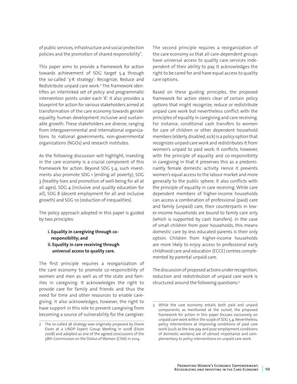of public services, infrastructure and social protection policies and the promotion of shared responsibility".

This paper aims to provide a framework for action towards achievement of SDG target 5.4 through the so-called '3-R strategy': Recognize, Reduce and Redistribute unpaid care work.2 The framework identifies an interlinked set of policy and programmatic intervention points under each 'R'. It also provides a blueprint for action for various stakeholders aimed at transformation of the care economy towards gender equality, human development inclusive and sustainable growth. These stakeholders are diverse, ranging from intergovernmental and international organizations to national governments, non-governmental organizations (NGOs) and research institutes.

As the following discussion will highlight, investing in the care economy is a crucial component of this framework for action. Beyond SDG 5.4, such investments also promote SDG 1 (ending all poverty), SDG 3 (healthy lives and promotion of well-being for all at all ages), SDG 4 (inclusive and quality education for all), SDG 8 (decent employment for all and inclusive growth) and SDG 10 (reduction of inequalities).

The policy approach adopted in this paper is guided by two principles:

#### **i. Equality in caregiving through coresponsibility; and ii. Equality in care receiving through universal access to quality care.**

The first principle requires a reorganization of the care economy to promote co-responsibility of women and men as well as of the state and families in caregiving. It acknowledges the right to provide care for family and friends and thus the need for time and other resources to enable caregiving. It also acknowledges, however, the right to have support in this role to prevent caregiving from becoming a source of vulnerability for the caregiver. The second principle requires a reorganization of the care economy so that all care-dependent groups have universal access to quality care services independent of their ability to pay. It acknowledges the right to be cared for and have equal access to quality care options.

Based on these guiding principles, the proposed framework for action steers clear of certain policy options that might recognize, reduce or redistribute unpaid care work but nevertheless conflict with the principles of equality in caregiving and care receiving. For instance, conditional cash transfers to women for care of children or other dependent household members (elderly, disabled, sick) is a policy option that recognizes unpaid care work and redistributes it from women's unpaid to paid work. It conflicts, however, with the principle of equality and co-responsibility in caregiving in that it preserves this as a predominantly female domestic activity. Hence it prevents women's equal access to the labour market and more generally to the public sphere. It also conflicts with the principle of equality in care receiving. While care dependent members of higher-income households can access a combination of professional (paid) care and family (unpaid) care, their counterparts in lower-income households are bound to family care only (which is supported by cash transfers). In the case of small children from poor households, this means domestic care by less educated parents is their only option. Children from higher-income households are more likely to enjoy access to professional early childhood care and education (ECCE) centres complemented by parental unpaid care.

The discussion of proposed actions under recognition, reduction and redistribution of unpaid care work is structured around the following questions:3

<sup>2</sup> The so-called 3R strategy was originally proposed by Diane Elson at a UNDP Expert Group Meeting in 2008 (Elson 2008) and adopted as one of the agreed conclusions of the 58th Commission on the Status of Women (CSW) in 2014.

<sup>3</sup> While the care economy entails both paid and unpaid components, as mentioned at the outset, the proposed framework for action in this paper focuses exclusively on unpaid care work within the scope of SDG 5.4. Nevertheless, policy interventions at improving conditions of paid care work (such as the low pay and poor employment conditions of domestic workers) are of utmost importance and complementary to policy interventions on unpaid care work.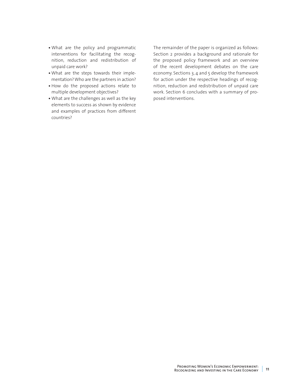- What are the policy and programmatic interventions for facilitating the recognition, reduction and redistribution of unpaid care work?
- What are the steps towards their implementation? Who are the partners in action?
- How do the proposed actions relate to multiple development objectives?
- What are the challenges as well as the key elements to success as shown by evidence and examples of practices from different countries?

The remainder of the paper is organized as follows: Section 2 provides a background and rationale for the proposed policy framework and an overview of the recent development debates on the care economy. Sections 3, 4 and 5 develop the framework for action under the respective headings of recognition, reduction and redistribution of unpaid care work. Section 6 concludes with a summary of proposed interventions.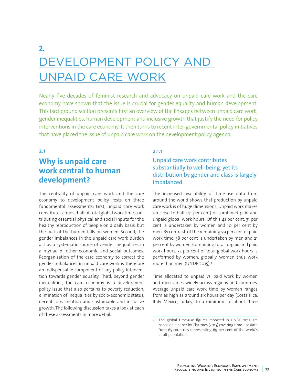# **2.**  DEVELOPMENT POLICY AND UNPAID CARE WORK

Nearly five decades of feminist research and advocacy on unpaid care work and the care economy have shown that the issue is crucial for gender equality and human development. This background section presents first an overview of the linkages between unpaid care work, gender inequalities, human development and inclusive growth that justify the need for policy interventions in the care economy. It then turns to recent inter-governmental policy initiatives that have placed the issue of unpaid care work on the development policy agenda.

#### **2.1**

# **Why is unpaid care work central to human development?**

The centrality of unpaid care work and the care economy to development policy rests on three fundamental assessments: First, unpaid care work constitutes almost half of total global work time, contributing essential physical and social inputs for the healthy reproduction of people on a daily basis, but the bulk of the burden falls on women. Second, the gender imbalances in the unpaid care work burden act as a systematic source of gender inequalities in a myriad of other economic and social outcomes. Reorganization of the care economy to correct the gender imbalances in unpaid care work is therefore an indispensable component of any policy intervention towards gender equality. Third, beyond gender inequalities, the care economy is a development policy issue that also pertains to poverty reduction, elimination of inequalities by socio-economic status, decent jobs creation and sustainable and inclusive growth. The following discussion takes a look at each of these assessments in more detail.

### 2.1.1

# Unpaid care work contributes substantially to well-being, yet its distribution by gender and class is largely imbalanced.

The increased availability of time-use data from around the world shows that production by unpaid care work is of huge dimensions. Unpaid work makes up close to half (41 per cent) of combined paid and unpaid global work hours. Of this 41 per cent, 31 per cent is undertaken by women and 10 per cent by men. By contrast, of the remaining 59 per cent of paid work time, 38 per cent is undertaken by men and 21 per cent by women. Combining total unpaid and paid work hours, 52 per cent of total global work hours is performed by women; globally, women thus work more than men (UNDP 2015).4

Time allocated to unpaid vs. paid work by women and men varies widely across regions and countries. Average unpaid care work time by women ranges from as high as around six hours per day (Costa Rica, Italy, Mexico, Turkey) to a minimum of about three

<sup>4</sup> The global time-use figures reported in UNDP 2015 are based on a paper by Charmes (2015) covering time-use data from 65 countries representing 69 per cent of the world's adult population.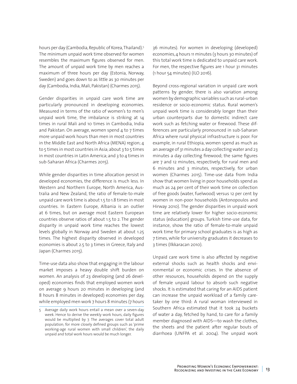hours per day (Cambodia, Republic of Korea, Thailand).<sup>5</sup> The minimum unpaid work time observed for women resembles the maximum figures observed for men. The amount of unpaid work time by men reaches a maximum of three hours per day (Estonia, Norway, Sweden) and goes down to as little as 30 minutes per day (Cambodia, India, Mali, Pakistan) (Charmes 2015).

Gender disparities in unpaid care work time are particularly pronounced in developing economies. Measured in terms of the ratio of women's to men's unpaid work time, the imbalance is striking at 14 times in rural Mali and 10 times in Cambodia, India and Pakistan. On average, women spend  $4$  to  $7$  times more unpaid work hours than men in most countries in the Middle East and North Africa (MENA) region; 4 to 5 times in most countries in Asia; about 3 to 5 times in most countries in Latin America; and 3 to 4 times in sub-Saharan Africa (Charmes 2015).

While gender disparities in time allocation persist in developed economies, the difference is much less. In Western and Northern Europe, North America, Australia and New Zealand, the ratio of female-to-male unpaid care work time is about 1.5 to 1.8 times in most countries. In Eastern Europe, Albania is an outlier at 6 times, but on average most Eastern European countries observe ratios of about 1.5 to 2. The gender disparity in unpaid work time reaches the lowest levels globally in Norway and Sweden at about 1.25 times. The highest disparity observed in developed economies is about 2.5 to 3 times in Greece, Italy and Japan (Charmes 2015).

Time-use data also show that engaging in the labour market imposes a heavy double shift burden on women. An analysis of 23 developing (and 26 developed) economies finds that employed women work on average 9 hours 20 minutes in developing (and 8 hours 8 minutes in developed) economies per day, while employed men work 7 hours 8 minutes (7 hours 36 minutes). For women in developing (developed) economies, 4 hours 11 minutes (3 hours 30 minutes) of this total work time is dedicated to unpaid care work. For men, the respective figures are 1 hour 31 minutes (1 hour 54 minutes) (ILO 2016).

Beyond cross-regional variation in unpaid care work patterns by gender, there is also variation among women by demographic variables such as rural-urban residence or socio-economic status. Rural women's unpaid work time is considerably longer than their urban counterparts due to domestic indirect care work such as fetching water or firewood. These differences are particularly pronounced in sub-Saharan Africa where rural physical infrastructure is poor. For example, in rural Ethiopia, women spend as much as an average of 31 minutes a day collecting water and 23 minutes a day collecting firewood; the same figures are 7 and 12 minutes, respectively, for rural men and 6 minutes and 3 minutes, respectively, for urban women (Charmes 2015). Time-use data from India show that women living in poor households spend as much as 24 per cent of their work time on collection of free goods (water, fuelwood) versus 12 per cent by women in non-poor households (Antonopoulos and Hirway 2010). The gender disparities in unpaid work time are relatively lower for higher socio-economic status (education) groups. Turkish time-use data, for instance, show the ratio of female-to-male unpaid work time for primary school graduates is as high as 7 times, while for university graduates it decreases to 3 times (Ilkkaracan 2010).

Unpaid care work time is also affected by negative external shocks such as health shocks and environmental or economic crises. In the absence of other resources, households depend on the supply of female unpaid labour to absorb such negative shocks. It is estimated that caring for an AIDS patient can increase the unpaid workload of a family caretaker by one third: A rural woman interviewed in Southern Africa estimated that it took 24 buckets of water a day, fetched by hand, to care for a family member diagnosed with AIDS—to wash the clothes, the sheets and the patient after regular bouts of diarrhoea (UNFPA et al. 2004). The unpaid work

<sup>5</sup> Average daily work hours entail a mean over a seven-day week. Hence to derive the weekly work hours, daily figures would be multiplied by 7. The averages cover total adult population; for more closely defined groups such as 'prime working-age rural women with small children', the daily unpaid and total work hours would be much longer.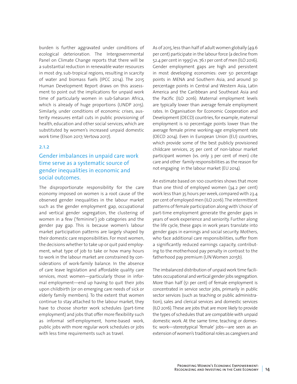burden is further aggravated under conditions of ecological deterioration. The Intergovernmental Panel on Climate Change reports that there will be a substantial reduction in renewable water resources in most dry, sub-tropical regions, resulting in scarcity of water and biomass fuels (IPCC 2014). The 2015 Human Development Report draws on this assessment to point out the implications for unpaid work time of particularly women in sub-Saharan Africa, which is already of huge proportions (UNDP 2015). Similarly, under conditions of economic crises, austerity measures entail cuts in public provisioning of health, education and other social services, which are substituted by women's increased unpaid domestic work time (Elson 2017; Vertova 2017).

#### 2.1.2

## Gender imbalances in unpaid care work time serve as a systematic source of gender inequalities in economic and social outcomes.

The disproportionate responsibility for the care economy imposed on women is a root cause of the observed gender inequalities in the labour market such as the gender employment gap, occupational and vertical gender segregation, the clustering of women in a few ('feminine') job categories and the gender pay gap. This is because women's labour market participation patterns are largely shaped by their domestic care responsibilities. For most women, the decisions whether to take up or quit paid employment, what type of job to take or how many hours to work in the labour market are constrained by considerations of work-family balance. In the absence of care leave legislation and affordable quality care services, most women—particularly those in informal employment—end up having to quit their jobs upon childbirth (or on emerging care needs of sick or elderly family members). To the extent that women continue to stay attached to the labour market, they have to choose shorter work schedules (part-time employment) and jobs that offer more flexibility such as informal self-employment, home-based work, public jobs with more regular work schedules or jobs with less time requirements such as travel.

As of 2015, less than half of adult women globally (49.6 per cent) participate in the labour force (a decline from 52.4 per cent in 1995) vs. 76.1 per cent of men (ILO 2016). Gender employment gaps are high and persistent in most developing economies: over 50 percentage points in MENA and Southern Asia, and around 30 percentage points in Central and Western Asia, Latin America and the Caribbean and Southeast Asia and the Pacific (ILO 2016). Maternal employment levels are typically lower than average female employment rates. In Organisation for Economic Cooperation and Development (OECD) countries, for example, maternal employment is 10 percentage points lower than the average female prime working-age employment rate (OECD 2014). Even in European Union (EU) countries, which provide some of the best publicly provisioned childcare services, 25 per cent of non-labour market participant women (vs. only 3 per cent of men) cite care and other family responsibilities as the reason for not engaging in the labour market (EU 2014).

An estimate based on 100 countries shows that more than one third of employed women (34.2 per cent) work less than 35 hours per week, compared with 23.4 per cent of employed men (ILO 2016). The intermittent patterns of female participation along with 'choice' of part-time employment generate the gender gaps in years of work experience and seniority. Further along the life cycle, these gaps in work years translate into gender gaps in earnings and social security. Mothers, who face additional care responsibilities, suffer from a significantly reduced earnings capacity, contributing to the motherhood pay penalty in contrast to the fatherhood pay premium (UN Women 2015b).

The imbalanced distribution of unpaid work time facilitates occupational and vertical gender jobs segregation. More than half (51 per cent) of female employment is concentrated in service sector jobs, primarily in public sector services (such as teaching or public administration), sales and clerical services and domestic services (ILO 2016). These are jobs that are more likely to provide the types of schedules that are compatible with unpaid domestic work. At the same time, teaching or domestic work—stereotypical 'female' jobs—are seen as an extension of women's traditional roles as caregivers and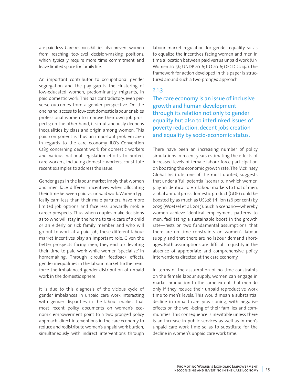are paid less. Care responsibilities also prevent women from reaching top-level decision-making positions, which typically require more time commitment and leave limited space for family life.

An important contributor to occupational gender segregation and the pay gap is the clustering of low-educated women, predominantly migrants, in paid domestic work. This has contradictory, even perverse outcomes from a gender perspective. On the one hand, access to low-cost domestic labour enables professional women to improve their own job prospects; on the other hand, it simultaneously deepens inequalities by class and origin among women. This paid component is thus an important problem area in regards to the care economy. ILO's Convention C189 concerning decent work for domestic workers and various national legislation efforts to protect care workers, including domestic workers, constitute recent examples to address the issue.

Gender gaps in the labour market imply that women and men face different incentives when allocating their time between paid vs. unpaid work. Women typically earn less than their male partners, have more limited job options and face less upwardly mobile career prospects. Thus when couples make decisions as to who will stay in the home to take care of a child or an elderly or sick family member and who will go out to work at a paid job, these different labour market incentives play an important role. Given the better prospects facing men, they end up devoting their time to paid work while women 'specialize' in homemaking. Through circular feedback effects, gender inequalities in the labour market further reinforce the imbalanced gender distribution of unpaid work in the domestic sphere.

It is due to this diagnosis of the vicious cycle of gender imbalances in unpaid care work interacting with gender disparities in the labour market that most recent policy documents on women's economic empowerment point to a two-pronged policy approach: direct interventions in the care economy to reduce and redistribute women's unpaid work burden; simultaneously with indirect interventions through labour market regulation for gender equality so as to equalize the incentives facing women and men in time allocation between paid versus unpaid work (UN Women 2015b; UNDP 2016; ILO 2016; OECD 2014a). The framework for action developed in this paper is structured around such a two-pronged approach.

#### 2.1.3

The care economy is an issue of inclusive growth and human development through its relation not only to gender equality but also to interlinked issues of poverty reduction, decent jobs creation and equality by socio-economic status.

There have been an increasing number of policy simulations in recent years estimating the effects of increased levels of female labour force participation on boosting the economic growth rate. The McKinsey Global Institute, one of the most quoted, suggests that under a 'full potential' scenario, in which women play an identical role in labour markets to that of men, global annual gross domestic product (GDP) could be boosted by as much as US\$28 trillion (26 per cent) by 2025 (Woetzel et al. 2015). Such a scenario—whereby women achieve identical employment patterns to men, facilitating a sustainable boost in the growth rate—rests on two fundamental assumptions: that there are no time constraints on women's labour supply and that there are no labour demand shortages. Both assumptions are difficult to justify in the absence of appropriate and comprehensive policy interventions directed at the care economy.

In terms of the assumption of no time constraints on the female labour supply, women can engage in market production to the same extent that men do only if they reduce their unpaid reproductive work time to men's levels. This would mean a substantial decline in unpaid care provisioning, with negative effects on the well-being of their families and communities. This consequence is inevitable unless there is an increase in public services as well as in men's unpaid care work time so as to substitute for the decline in women's unpaid care work time.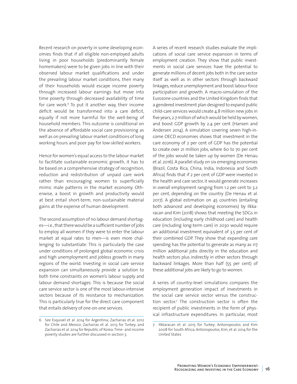Recent research on poverty in some developing economies finds that if all eligible non-employed adults living in poor households (predominantly female homemakers) were to be given jobs in line with their observed labour market qualifications and under the prevailing labour market conditions, then many of their households would escape income poverty through increased labour earnings but move into time poverty through decreased availability of time for care work. $6$  To put it another way, their income deficit would be transformed into a care deficit, equally if not more harmful for the well-being of household members. This outcome is conditional on the absence of affordable social care provisioning as well as on prevailing labour market conditions of long working hours and poor pay for low-skilled workers.

Hence for women's equal access to the labour market to facilitate sustainable economic growth, it has to be based on a comprehensive strategy of recognition, reduction and redistribution of unpaid care work rather than encouraging women to superficially mimic male patterns in the market economy. Otherwise, a boost in growth and productivity would at best entail short-term, non-sustainable material gains at the expense of human development.

The second assumption of no labour demand shortages—i.e., that there would be a sufficient number of jobs to employ all women if they were to enter the labour market at equal rates to men—is even more challenging to substantiate. This is particularly the case under conditions of prolonged global economic crisis and high unemployment and jobless growth in many regions of the world. Investing in social care service expansion can simultaneously provide a solution to both time constraints on women's labour supply and labour demand shortages. This is because the social care service sector is one of the most labour-intensive sectors because of its resistance to mechanization. This is particularly true for the direct care component that entails delivery of one-on-one services.

A series of recent research studies evaluate the implications of social care service expansion in terms of employment creation. They show that public investments in social care services have the potential to generate millions of decent jobs both in the care sector itself as well as in other sectors through backward linkages, reduce unemployment and boost labour force participation and growth. A macro-simulation of the Eurozone countries and the United Kingdom finds that a gendered investment plan designed to expand public child-care services would create 4.8 million new jobs in five years, 2.7 million of which would be held by women, and boost GDP growth by 2.4 per cent (Hansen and Andersen 2014). A simulation covering seven high-income OECD economies shows that investment in the care economy of 2 per cent of GDP has the potential to create over 21 million jobs, where 60 to 70 per cent of the jobs would be taken up by women (De Henau et al. 2016). A parallel study on six emerging economies (Brazil, Costa Rica, China, India, Indonesia and South Africa) finds that if 2 per cent of GDP were invested in the health and care sector, it would generate increases in overall employment ranging from 1.2 per cent to 3.2 per cent, depending on the country (De Henau et al. 2017). A global estimation on 45 countries (entailing both advanced and developing economies) by Ilkkaracan and Kim (2018) shows that meeting the SDGs in education (including early childhood care) and health care (including long-term care) in 2030 would require an additional investment equivalent of 3.5 per cent of their combined GDP. They show that expanding care spending has the potential to generate as many as 117 million additional jobs directly in the education and health sectors plus indirectly in other sectors through backward linkages. More than half (55 per cent) of these additional jobs are likely to go to women.

A series of country-level simulations compares the employment generation impact of investments in the social care service sector versus the construction sector.7 The construction sector is often the recipient of public investments in the form of physical infrastructure expenditures. In particular, most

<sup>6</sup> See Esquivel et al. 2014 for Argentina; Zacharias et.al. 2012 for Chile and Mexico; Zacharias et al. 2013 for Turkey; and Zacharias et al. 2014 for Republic of Korea. Time- and income poverty studies are further discussed in section 3.

<sup>7</sup> Ilkkaracan et al. 2015 for Turkey; Antonopoulos and Kim 2008 for South Africa; Antonopoulos, Kim, et al. 2014 for the United States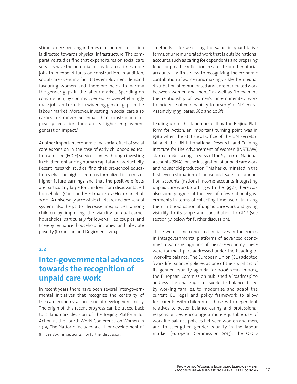stimulatory spending in times of economic recession is directed towards physical infrastructure. The comparative studies find that expenditures on social care services have the potential to create 2 to 3 times more jobs than expenditures on construction. In addition, social care spending facilitates employment demand favouring women and therefore helps to narrow the gender gaps in the labour market. Spending on construction, by contrast, generates overwhelmingly male jobs and results in widening gender gaps in the labour market. Moreover, investing in social care also carries a stronger potential than construction for poverty reduction through its higher employment generation impact.8

Another important economic and social effect of social care expansion in the case of early childhood education and care (ECCE) services comes through investing in children, enhancing human capital and productivity. Recent research studies find that pre-school education yields the highest returns formalized in terms of higher future earnings and that the positive effects are particularly large for children from disadvantaged households (Conti and Heckman 2012; Heckman et al. 2010). A universally accessible childcare and pre-school system also helps to decrease inequalities among children by improving the viability of dual-earner households, particularly for lower-skilled couples, and thereby enhance household incomes and alleviate poverty (Ilkkaracan and Degirmenci 2013).

#### **2.2**

# **Inter-governmental advances towards the recognition of unpaid care work**

In recent years there have been several inter-governmental initiatives that recognize the centrality of the care economy as an issue of development policy. The origin of this recent progress can be traced back to a landmark decision of the Beijing Platform for Action at the Fourth World Conference on Women in 1995. The Platform included a call for development of

8 See Box 5 in section 4.1 for further discussion.

"methods … for assessing the value, in quantitative terms, of unremunerated work that is outside national accounts, such as caring for dependents and preparing food, for possible reflection in satellite or other official accounts … with a view to recognizing the economic contribution of women and making visible the unequal distribution of remunerated and unremunerated work between women and men…" as well as "to examine the relationship of women's unremunerated work to incidence of vulnerability to poverty" (UN General Assembly 1995: paras. 68b and 206f).

Leading up to this landmark call by the Beijing Platform for Action, an important turning point was in 1986 when the Statistical Office of the UN Secretariat and the UN International Research and Training Institute for the Advancement of Women (INSTRAW) started undertaking a review of the System of National Accounts (SNA) for the integration of unpaid care work and household production. This has culminated in the first ever estimation of household satellite production accounts (national income accounts integrating unpaid care work). Starting with the 1990s, there was also some progress at the level of a few national governments in terms of collecting time-use data, using them in the valuation of unpaid care work and giving visibility to its scope and contribution to GDP (see section 3.1 below for further discussion).

There were some concerted initiatives in the 2000s in intergovernmental platforms of advanced economies towards recognition of the care economy. These were for most part addressed under the heading of 'work-life balance'. The European Union (EU) adopted 'work-life balance' policies as one of the six pillars of its gender equality agenda for 2006-2010. In 2015, the European Commission published a 'roadmap' to address the challenges of work-life balance faced by working families, to modernize and adapt the current EU legal and policy framework to allow for parents with children or those with dependent relatives to better balance caring and professional responsibilities, encourage a more equitable use of work-life balance policies between women and men, and to strengthen gender equality in the labour market (European Commission 2015). The OECD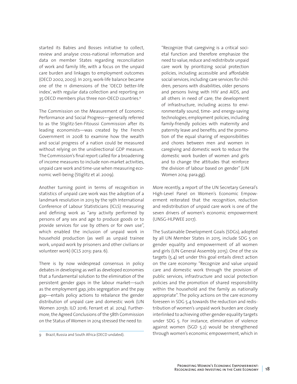started its Babies and Bosses initiative to collect, review and analyse cross-national information and data on member States regarding reconciliation of work and family life, with a focus on the unpaid care burden and linkages to employment outcomes (OECD 2002, 2003). In 2013, work-life balance became one of the 11 dimensions of the 'OECD better-life index', with regular data collection and reporting on 35 OECD members plus three non-OECD countries.9

The Commission on the Measurement of Economic Performance and Social Progress—generally referred to as the Stiglitz-Sen-Fitoussi Commission after its leading economists—was created by the French Government in 2008 to examine how the wealth and social progress of a nation could be measured without relying on the unidirectional GDP measure. The Commission's final report called for a broadening of income measures to include non-market activities, unpaid care work and time-use when measuring economic well-being (Stiglitz et al. 2009).

Another turning point in terms of recognition in statistics of unpaid care work was the adoption of a landmark resolution in 2013 by the 19th International Conference of Labour Statisticians (ICLS) measuring and defining work as "any activity performed by persons of any sex and age to produce goods or to provide services for use by others or for own use", which enabled the inclusion of unpaid work in household production (as well as unpaid trainee work, unpaid work by prisoners and other civilians or volunteer work) (ICLS 2013: para. 6).

There is by now widespread consensus in policy debates in developing as well as developed economies that a fundamental solution to the elimination of the persistent gender gaps in the labour market—such as the employment gap, jobs segregation and the pay gap—entails policy actions to rebalance the gender distribution of unpaid care and domestic work (UN Women 2015b; ILO 2016; Ferrant et al. 2014). Furthermore, the Agreed Conclusions of the 58th Commission on the Status of Women in 2014 stressed the need to:

"Recognize that caregiving is a critical societal function and therefore emphasize the need to value, reduce and redistribute unpaid care work by prioritizing social protection policies, including accessible and affordable social services, including care services for children, persons with disabilities, older persons and persons living with HIV and AIDS, and all others in need of care; the development of infrastructure, including access to environmentally sound, time- and energy-saving technologies; employment policies, including family-friendly policies with maternity and paternity leave and benefits; and the promotion of the equal sharing of responsibilities and chores between men and women in caregiving and domestic work to reduce the domestic work burden of women and girls and to change the attitudes that reinforce the division of labour based on gender" (UN Women 2014: para.gg).

More recently, a report of the UN Secretary General's High-Level Panel on Women's Economic Empowerment reiterated that the recognition, reduction and redistribution of unpaid care work is one of the seven drivers of women's economic empowerment (UNSG-HLPWEE 2017).

The Sustainable Development Goals (SDGs), adopted by all UN Member States in 2015, include SDG 5 on gender equality and empowerment of all women and girls (UN General Assembly 2015). One of the six targets (5.4) set under this goal entails direct action on the care economy: "Recognize and value unpaid care and domestic work through the provision of public services, infrastructure and social protection policies and the promotion of shared responsibility within the household and the family as nationally appropriate". The policy actions on the care economy foreseen in SDG 5.4 towards the reduction and redistribution of women's unpaid work burden are closely interlinked to achieving other gender equality targets under SDG 5. For instance, elimination of violence against women (SGD 5.2) would be strengthened through women's economic empowerment, which in

<sup>9</sup> Brazil, Russia and South Africa (OECD undated).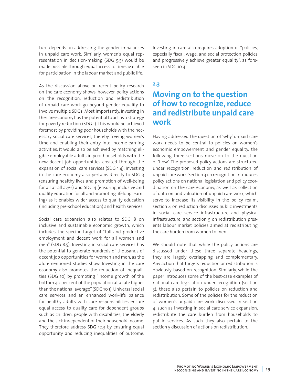turn depends on addressing the gender imbalances in unpaid care work. Similarly, women's equal representation in decision-making (SDG 5.5) would be made possible through equal access to time available for participation in the labour market and public life.

As the discussion above on recent policy research on the care economy shows, however, policy actions on the recognition, reduction and redistribution of unpaid care work go beyond gender equality to involve multiple SDGs. Most importantly, investing in the care economy has the potential to act as a strategy for poverty reduction (SDG 1). This would be achieved foremost by providing poor households with the necessary social care services, thereby freeing women's time and enabling their entry into income-earning activities. It would also be achieved by matching eligible employable adults in poor households with the new decent job opportunities created through the expansion of social care services (SDG 1.4). Investing in the care economy also pertains directly to SDG 3 (ensuring healthy lives and promotion of well-being for all at all ages) and SDG 4 (ensuring inclusive and quality education for all and promoting lifelong learning) as it enables wider access to quality education (including pre-school education) and health services.

Social care expansion also relates to SDG 8 on inclusive and sustainable economic growth, which includes the specific target of "full and productive employment and decent work for all women and men" (SDG 8.5). Investing in social care services has the potential to generate hundreds of thousands of decent job opportunities for women and men, as the aforementioned studies show. Investing in the care economy also promotes the reduction of inequalities (SDG 10) by promoting "income growth of the bottom 40 per cent of the population at a rate higher than the national average" (SDG 10.1). Universal social care services and an enhanced work-life balance for healthy adults with care responsibilities ensure equal access to quality care for dependent groups such as children, people with disabilities, the elderly and the sick independent of their household income. They therefore address SDG 10.3 by ensuring equal opportunity and reducing inequalities of outcome. Investing in care also requires adoption of "policies, especially fiscal, wage, and social protection policies and progressively achieve greater equality", as foreseen in SDG 10.4.

#### **2.3**

# **Moving on to the question of how to recognize, reduce and redistribute unpaid care work**

Having addressed the question of 'why' unpaid care work needs to be central to policies on women's economic empowerment and gender equality, the following three sections move on to the question of 'how'. The proposed policy actions are structured under recognition, reduction and redistribution of unpaid care work. Section 3 on recognition introduces policy actions on national legislation and policy coordination on the care economy, as well as collection of data on and valuation of unpaid care work, which serve to increase its visibility in the policy realm; section 4 on reduction discusses public investments in social care service infrastructure and physical infrastructure; and section 5 on redistribution presents labour market policies aimed at redistributing the care burden from women to men.

We should note that while the policy actions are discussed under these three separate headings, they are largely overlapping and complementary. Any action that targets reduction or redistribution is obviously based on recognition. Similarly, while the paper introduces some of the best-case examples of national care legislation under recognition (section 3), these also pertain to policies on reduction and redistribution. Some of the policies for the reduction of women's unpaid care work discussed in section 4, such as investing in social care service expansion, redistribute the care burden from households to public services. As such they also pertain to the section 5 discussion of actions on redistribution.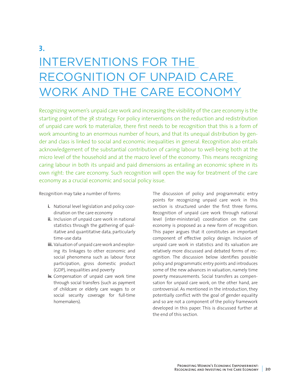# **3.** INTERVENTIONS FOR THE RECOGNITION OF UNPAID CARE WORK AND THE CARE ECONOMY

Recognizing women's unpaid care work and increasing the visibility of the care economy is the starting point of the 3R strategy. For policy interventions on the reduction and redistribution of unpaid care work to materialize, there first needs to be recognition that this is a form of work amounting to an enormous number of hours, and that its unequal distribution by gender and class is linked to social and economic inequalities in general. Recognition also entails acknowledgement of the substantial contribution of caring labour to well-being both at the micro level of the household and at the macro level of the economy. This means recognizing caring labour in both its unpaid and paid dimensions as entailing an economic sphere in its own right: the care economy. Such recognition will open the way for treatment of the care economy as a crucial economic and social policy issue.

Recognition may take a number of forms:

- **i.** National level legislation and policy coordination on the care economy
- **ii.** Inclusion of unpaid care work in national statistics through the gathering of qualitative and quantitative data, particularly time-use data
- **iii.** Valuation of unpaid care work and exploring its linkages to other economic and social phenomena such as labour force participation, gross domestic product (GDP), inequalities and poverty
- **iv.** Compensation of unpaid care work time through social transfers (such as payment of childcare or elderly care wages to or social security coverage for full-time homemakers).

The discussion of policy and programmatic entry points for recognizing unpaid care work in this section is structured under the first three forms. Recognition of unpaid care work through national level (inter-ministerial) coordination on the care economy is proposed as a new form of recognition. This paper argues that it constitutes an important component of effective policy design. Inclusion of unpaid care work in statistics and its valuation are relatively more discussed and debated forms of recognition. The discussion below identifies possible policy and programmatic entry points and introduces some of the new advances in valuation, namely time poverty measurements. Social transfers as compensation for unpaid care work, on the other hand, are controversial. As mentioned in the introduction, they potentially conflict with the goal of gender equality and so are not a component of the policy framework developed in this paper. This is discussed further at the end of this section.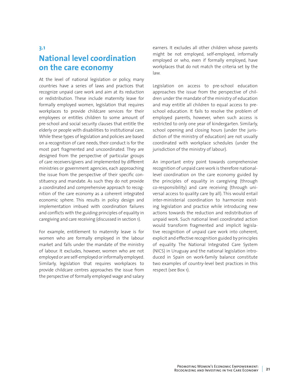### **3.1**

# **National level coordination on the care economy**

At the level of national legislation or policy, many countries have a series of laws and practices that recognize unpaid care work and aim at its reduction or redistribution. These include maternity leave for formally employed women, legislation that requires workplaces to provide childcare services for their employees or entitles children to some amount of pre-school and social security clauses that entitle the elderly or people with disabilities to institutional care. While these types of legislation and policies are based on a recognition of care needs, their conduct is for the most part fragmented and uncoordinated. They are designed from the perspective of particular groups of care receivers/givers and implemented by different ministries or government agencies, each approaching the issue from the perspective of their specific constituency and mandate. As such they do not provide a coordinated and comprehensive approach to recognition of the care economy as a coherent integrated economic sphere. This results in policy design and implementation imbued with coordination failures and conflicts with the guiding principles of equality in caregiving and care receiving (discussed in section 1).

For example, entitlement to maternity leave is for women who are formally employed in the labour market and falls under the mandate of the ministry of labour. It excludes, however, women who are not employed or are self-employed or informally employed. Similarly, legislation that requires workplaces to provide childcare centres approaches the issue from the perspective of formally employed wage and salary

earners. It excludes all other children whose parents might be not employed, self-employed, informally employed or who, even if formally employed, have workplaces that do not match the criteria set by the law.

Legislation on access to pre-school education approaches the issue from the perspective of children under the mandate of the ministry of education and may entitle all children to equal access to preschool education. It fails to resolve the problem of employed parents, however, when such access is restricted to only one year of kindergarten. Similarly, school opening and closing hours (under the jurisdiction of the ministry of education) are not usually coordinated with workplace schedules (under the jurisdiction of the ministry of labour).

An important entry point towards comprehensive recognition of unpaid care work is therefore nationallevel coordination on the care economy guided by the principles of equality in caregiving (through co-responsibility) and care receiving (through universal access to quality care by all). This would entail inter-ministerial coordination to harmonize existing legislation and practice while introducing new actions towards the reduction and redistribution of unpaid work. Such national level coordinated action would transform fragmented and implicit legislative recognition of unpaid care work into coherent, explicit and effective recognition guided by principles of equality. The National Integrated Care System (NICS) in Uruguay and the national legislation introduced in Spain on work-family balance constitute two examples of country-level best practices in this respect (see Box 1).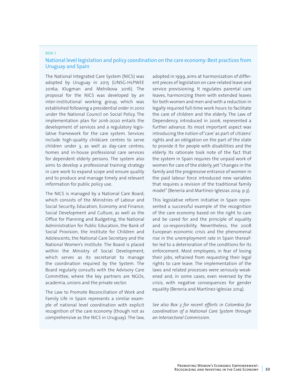#### **BOX 1**

### National level legislation and policy coordination on the care economy: Best practices from Uruguay and Spain

The National Integrated Care System (NICS) was adopted by Uruguay in 2015 (UNSG-HLPWEE 2016a; Klugman and Melnikova 2016). The proposal for the NICS was developed by an inter-institutional working group, which was established following a presidential order in 2010 under the National Council on Social Policy. The implementation plan for 2016-2020 entails the development of services and a regulatory legislative framework for the care system. Services include high-quality childcare centres to serve children under 3, as well as day-care centres, homes and in-house professional care services for dependent elderly persons. The system also aims to develop a professional training strategy in care work to expand scope and ensure quality and to produce and manage timely and relevant information for public policy use.

The NICS is managed by a National Care Board, which consists of the Ministries of Labour and Social Security, Education, Economy and Finance, Social Development and Culture, as well as the Office for Planning and Budgeting, the National Administration for Public Education, the Bank of Social Provision, the Institute for Children and Adolescents, the National Care Secretary and the National Women's Institute. The Board is placed within the Ministry of Social Development, which serves as its secretariat to manage the coordination required by the System. The Board regularly consults with the Advisory Care Committee, where the key partners are NGOs, academia, unions and the private sector.

The Law to Promote Reconciliation of Work and Family Life in Spain represents a similar example of national level coordination with explicit recognition of the care economy (though not as comprehensive as the NICS in Uruguay). The law, adopted in 1999, aims at harmonization of different pieces of legislation on care-related leave and service provisioning. It regulates parental care leaves, harmonizing them with extended leaves for both women and men and with a reduction in legally required full-time work hours to facilitate the care of children and the elderly. The Law of Dependency, introduced in 2006, represented a further advance. Its most important aspect was introducing the notion of 'care' as part of citizens' rights and an obligation on the part of the state to provide it for people with disabilities and the elderly. Its rationale took note of the fact that the system in Spain requires the unpaid work of women for care of the elderly, yet "changes in the family and the progressive entrance of women in the paid labour force introduced new variables that requires a revision of the traditional family model" (Benería and Martínez-Iglesias 2014: p.3).

This legislative reform initiative in Spain represented a successful example of the recognition of the care economy based on the right to care and be cared for and the principle of equality and co-responsibility. Nevertheless, the 2008 European economic crisis and the phenomenal rise in the unemployment rate in Spain thereafter led to a deterioration of the conditions for its enforcement. Most employees, in fear of losing their jobs, refrained from requesting their legal rights to care leave. The implementation of the laws and related processes were seriously weakened and, in some cases, even reversed by the crisis, with negative consequences for gender equality (Benería and Martínez-Iglesias 2014).

*See also Box 3 for recent efforts in Colombia for coordination of a National Care System through an Intersectoral Commission.*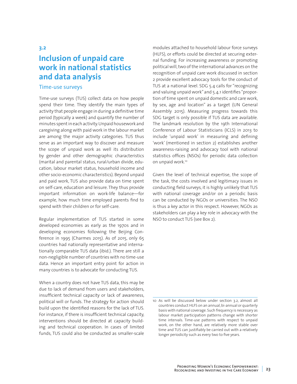# **3.2 Inclusion of unpaid care work in national statistics and data analysis**

### Time-use surveys

Time-use surveys (TUS) collect data on how people spend their time. They identify the main types of activity that people engage in during a definitive time period (typically a week) and quantify the number of minutes spent in each activity. Unpaid housework and caregiving along with paid work in the labour market are among the major activity categories. TUS thus serve as an important way to discover and measure the scope of unpaid work as well its distribution by gender and other demographic characteristics (marital and parental status, rural/urban divide, education, labour market status, household income and other socio-economic characteristics). Beyond unpaid and paid work, TUS also provide data on time spent on self-care, education and leisure. They thus provide important information on work-life balance—for example, how much time employed parents find to spend with their children or for self-care.

Regular implementation of TUS started in some developed economies as early as the 1970s and in developing economies following the Beijing Conference in 1995 (Charmes 2015). As of 2015, only 65 countries had nationally representative and internationally comparable TUS data (ibid.). There are still a non-negligible number of countries with no time-use data. Hence an important entry point for action in many countries is to advocate for conducting TUS.

When a country does not have TUS data, this may be due to lack of demand from users and stakeholders, insufficient technical capacity or lack of awareness, political will or funds. The strategy for action should build upon the identified reasons for the lack of TUS. For instance, if there is insufficient technical capacity, interventions should be directed at capacity building and technical cooperation. In cases of limited funds, TUS could also be conducted as smaller-scale modules attached to household labour force surveys (HLFS), or efforts could be directed at securing external funding. For increasing awareness or promoting political will, two of the international advances on the recognition of unpaid care work discussed in section 2 provide excellent advocacy tools for the conduct of TUS at a national level. SDG 5.4 calls for "recognizing and valuing unpaid work" and 5.4.1 identifies "proportion of time spent on unpaid domestic and care work, by sex, age and location" as a target (UN General Assembly 2015). Measuring progress towards this SDG target is only possible if TUS data are available. The landmark resolution by the 19th International Conference of Labour Statisticians (ICLS) in 2013 to include 'unpaid work' in measuring and defining 'work' (mentioned in section 2) establishes another awareness-raising and advocacy tool with national statistics offices (NSOs) for periodic data collection on unpaid work.10

Given the level of technical expertise, the scope of the task, the costs involved and legitimacy issues in conducting field surveys, it is highly unlikely that TUS with national coverage and/or on a periodic basis can be conducted by NGOs or universities. The NSO is thus a key actor in this respect. However, NGOs as stakeholders can play a key role in advocacy with the NSO to conduct TUS (see Box 2).

<sup>10</sup> As will be discussed below under section 3.2, almost all countries conduct HLFS on an annual, bi-annual or quarterly basis with national coverage. Such frequency is necessary as labour market participation patterns change with shorter time intervals. Time-use patterns with respect to unpaid work, on the other hand, are relatively more stable over time and TUS can justifiably be carried out with a relatively longer periodicity such as every two to five years.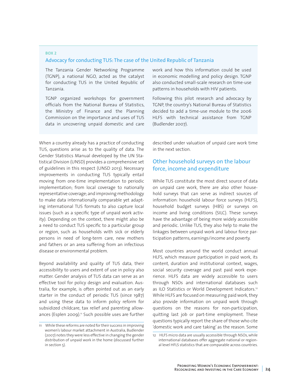### **BOX 2**  Advocacy for conducting TUS: The case of the United Republic of Tanzania

The Tanzania Gender Networking Programme (TGNP), a national NGO, acted as the catalyst for conducting TUS in the United Republic of Tanzania.

TGNP organized workshops for government officials from the National Bureau of Statistics, the Ministry of Finance and the Planning Commission on the importance and uses of TUS data in uncovering unpaid domestic and care

When a country already has a practice of conducting TUS, questions arise as to the quality of data. The Gender Statistics Manual developed by the UN Statistical Division (UNSD) provides a comprehensive set of guidelines in this respect (UNSD 2013). Necessary improvements in conducting TUS typically entail moving from one-time implementation to periodic implementation; from local coverage to nationally representative coverage; and improving methodology to make data internationally comparable yet adapting international TUS formats to also capture local issues (such as a specific type of unpaid work activity). Depending on the context, there might also be a need to conduct TUS specific to a particular group or region, such as households with sick or elderly persons in need of long-term care, new mothers and fathers or an area suffering from an infectious disease or environmental problem.

Beyond availability and quality of TUS data, their accessibility to users and extent of use in policy also matter. Gender analysis of TUS data can serve as an effective tool for policy design and evaluation. Australia, for example, is often pointed out as an early starter in the conduct of periodic TUS (since 1987) and using these data to inform policy reform for subsidized childcare, tax relief and parenting allowances (Esplen 2009).<sup>11</sup> Such possible uses are further work and how this information could be used in economic modelling and policy design. TGNP also conducted small-scale research on time-use patterns in households with HIV patients.

Following this pilot research and advocacy by TGNP, the country's National Bureau of Statistics decided to add a time-use module to the 2006 HLFS with technical assistance from TGNP (Budlender 2007).

described under valuation of unpaid care work time in the next section.

# Other household surveys on the labour force, income and expenditure

While TUS constitute the most direct source of data on unpaid care work, there are also other household surveys that can serve as indirect sources of information: household labour force surveys (HLFS), household budget surveys (HBS) or surveys on income and living conditions (SILC). These surveys have the advantage of being more widely accessible and periodic. Unlike TUS, they also help to make the linkages between unpaid work and labour force participation patterns, earnings/income and poverty.

Most countries around the world conduct annual HLFS, which measure participation in paid work, its content, duration and institutional context, wages, social security coverage and past paid work experience. HLFS data are widely accessible to users through NSOs and international databases such as ILO Statistics or World Development Indicators.<sup>12</sup> While HLFS are focused on measuring paid work, they also provide information on unpaid work through questions on the reasons for non-participation, quitting last job or part-time employment. These questions typically report the share of those who cite 'domestic work and care taking' as the reason. Some

<sup>11</sup> While these reforms are noted for their success in improving women's labour market attachment in Australia, Budlender (2007) notes they were less effective in changing the gender distribution of unpaid work in the home (discussed further in section 5).

<sup>12</sup> HLFS micro data are usually accessible through NSOs, while international databases offer aggregate national or regional level HFLS statistics that are comparable across countries.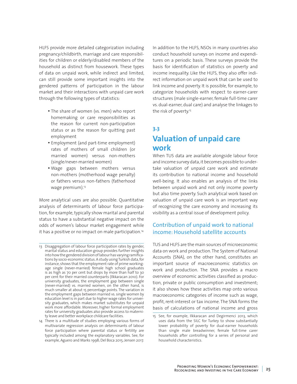HLFS provide more detailed categorization including pregnancy/childbirth, marriage and care responsibilities for children or elderly/disabled members of the household as distinct from housework. These types of data on unpaid work, while indirect and limited, can still provide some important insights into the gendered patterns of participation in the labour market and their interactions with unpaid care work through the following types of statistics:

- The share of women (vs. men) who report homemaking or care responsibilities as the reason for current non-participation status or as the reason for quitting past employment
- •Employment (and part-time employment) rates of mothers of small children (or married women) versus non-mothers (single/never-married women)
- Wage gaps between mothers versus non-mothers (motherhood wage penalty) or fathers versus non-fathers (fatherhood wage premium).<sup>13</sup>

More analytical uses are also possible. Quantitative analysis of determinants of labour force participation, for example, typically show marital and parental status to have a substantial negative impact on the odds of women's labour market engagement while it has a positive or no impact on male participation.<sup>14</sup>

14 There is a multitude of studies employing various forms of multivariate regression analysis on determinants of labour force participation where parental status or fertility are typically included among the explanatory variables. See, for example, Aguero and Marks 1998; Del Boca 2015; Jensen 2017.

In addition to the HLFS, NSOs in many countries also conduct household surveys on income and expenditures on a periodic basis. These surveys provide the basis for identification of statistics on poverty and income inequality. Like the HLFS, they also offer indirect information on unpaid work that can be used to link income and poverty. It is possible, for example, to categorize households with respect to earner-carer structures (male single-earner, female full-time carer vs. dual-earner, dual care) and analyse the linkages to the risk of poverty.15

# **3.3**

# **Valuation of unpaid care work**

When TUS data are available alongside labour force and income survey data, it becomes possible to undertake valuation of unpaid care work and estimate its contribution to national income and household well-being. It also enables an analysis of the links between unpaid work and not only income poverty but also time poverty. Such analytical work based on valuation of unpaid care work is an important way of recognizing the care economy and increasing its visibility as a central issue of development policy.

# Contribution of unpaid work to national income: Household satellite accounts

TUS and HLFS are the main sources of microeconomic data on work and production. The System of National Accounts (SNA), on the other hand, constitutes an important source of macroeconomic statistics on work and production. The SNA provides a macro overview of economic activities classified as production, private or public consumption and investment; it also shows how these activities map onto various macroeconomic categories of income such as wage, profit, rent-interest or tax income. The SNA forms the basis of calculations of national income and gross

<sup>13</sup> Disaggregation of labour force participation rates by gender, marital status and education group provides further insights into how the gendered division of labour has varying ramifications by socio-economic status. A study using Turkish data, for instance, shows that the employment rate of prime workingage single (never-married) female high school graduates is as high as 70 per cent but drops by more than half to 30 per cent for their married counterparts (Ilkkaracan 2010). For university graduates, the employment gap between single (never-married) vs. married women, on the other hand, is much smaller at about 15 percentage points. The variation in the employment gaps between married vs. single women by education level is in part due to higher wage rates for university graduates, which makes market substitutes for unpaid work more affordable. Moreover, higher formal employment rates for university graduates also provide access to maternity leave and better workplace childcare facilities.

<sup>15</sup> See, for example, Ilkkaracan and Degirmenci 2013, which uses data from the SILC for Turkey to show substantially lower probability of poverty for dual-earner households than single male breadwinner, female full-time carer households after controlling for a series of personal and household characteristics.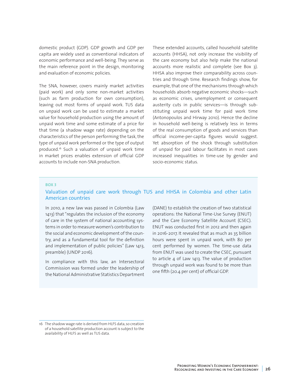domestic product (GDP). GDP growth and GDP per capita are widely used as conventional indicators of economic performance and well-being. They serve as the main reference point in the design, monitoring and evaluation of economic policies.

The SNA, however, covers mainly market activities (paid work) and only some non-market activities (such as farm production for own consumption), leaving out most forms of unpaid work. TUS data on unpaid work can be used to estimate a market value for household production using the amount of unpaid work time and some estimate of a price for that time (a shadow wage rate) depending on the characteristics of the person performing the task, the type of unpaid work performed or the type of output produced.16 Such a valuation of unpaid work time in market prices enables extension of official GDP accounts to include non-SNA production.

These extended accounts, called household satellite accounts (HHSA), not only increase the visibility of the care economy but also help make the national accounts more realistic and complete (see Box 3). HHSA also improve their comparability across countries and through time. Research findings show, for example, that one of the mechanisms through which households absorb negative economic shocks—such as economic crises, unemployment or consequent austerity cuts in public services—is through substituting unpaid work time for paid work time (Antonopoulos and Hirway 2010). Hence the decline in household well-being is relatively less in terms of the real consumption of goods and services than official income-per-capita figures would suggest. Yet absorption of the shock through substitution of unpaid for paid labour facilitates in most cases increased inequalities in time-use by gender and socio-economic status.

#### **BOX 3**

### Valuation of unpaid care work through TUS and HHSA in Colombia and other Latin American countries

In 2010, a new law was passed in Colombia (Law 1413) that "regulates the inclusion of the economy of care in the system of national accounting systems in order to measure women's contribution to the social and economic development of the country, and as a fundamental tool for the definition and implementation of public policies" (Law 1413, preamble) (UNDP 2016).

In compliance with this law, an Intersectoral Commission was formed under the leadership of the National Administrative Statistics Department (DANE) to establish the creation of two statistical operations: the National Time-Use Survey (ENUT) and the Care Economy Satellite Account (CSEC). ENUT was conducted first in 2012 and then again in 2016-2017. It revealed that as much as 35 billion hours were spent in unpaid work, with 80 per cent performed by women. The time-use data from ENUT was used to create the CSEC, pursuant to article 4 of Law 1413. The value of production through unpaid work was found to be more than one fifth (20.4 per cent) of official GDP.

<sup>16</sup> The shadow wage rate is derived from HLFS data, so creation of a household satellite production account is subject to the availability of HLFS as well as TUS data.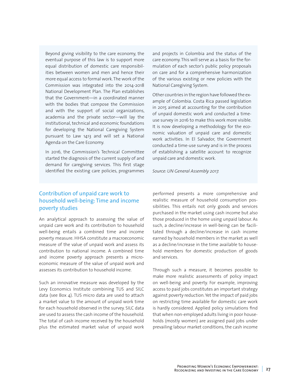Beyond giving visibility to the care economy, the eventual purpose of this law is to support more equal distribution of domestic care responsibilities between women and men and hence their more equal access to formal work. The work of the Commission was integrated into the 2014-2018 National Development Plan. The Plan establishes that the Government—in a coordinated manner with the bodies that compose the Commission and with the support of social organizations, academia and the private sector—will lay the institutional, technical and economic foundations for developing the National Caregiving System pursuant to Law 1413 and will set a National Agenda on the Care Economy.

In 2016, the Commission's Technical Committee started the diagnosis of the current supply of and demand for caregiving services. This first stage identified the existing care policies, programmes and projects in Colombia and the status of the care economy. This will serve as a basis for the formulation of each sector's public policy proposals on care and for a comprehensive harmonization of the various existing or new policies with the National Caregiving System.

Other countries in the region have followed the example of Colombia. Costa Rica passed legislation in 2015 aimed at accounting for the contribution of unpaid domestic work and conducted a timeuse survey in 2016 to make this work more visible. It is now developing a methodology for the economic valuation of unpaid care and domestic work activities. In El Salvador, the Government conducted a time-use survey and is in the process of establishing a satellite account to recognize unpaid care and domestic work.

*Source: UN General Assembly 2017.*

## Contribution of unpaid care work to household well-being: Time and income poverty studies

An analytical approach to assessing the value of unpaid care work and its contribution to household well-being entails a combined time and income poverty measure. HHSA constitute a macroeconomic measure of the value of unpaid work and assess its contribution to national income. A combined time and income poverty approach presents a microeconomic measure of the value of unpaid work and assesses its contribution to household income.

Such an innovative measure was developed by the Levy Economics Institute combining TUS and SILC data (see Box 4). TUS micro data are used to attach a market value to the amount of unpaid work time for each household observed in the survey. SILC data are used to assess the cash income of the household. The total of cash income received by the household plus the estimated market value of unpaid work

performed presents a more comprehensive and realistic measure of household consumption possibilities. This entails not only goods and services purchased in the market using cash income but also those produced in the home using unpaid labour. As such, a decline/increase in well-being can be facilitated through a decline/increase in cash income earned by household members in the market as well as a decline/increase in the time available to household members for domestic production of goods and services.

Through such a measure, it becomes possible to make more realistic assessments of policy impact on well-being and poverty. For example, improving access to paid jobs constitutes an important strategy against poverty reduction. Yet the impact of paid jobs on restricting time available for domestic care work is hardly considered. Applied policy simulations find that when non-employed adults living in poor households (mostly women) are assigned paid jobs under prevailing labour market conditions, the cash income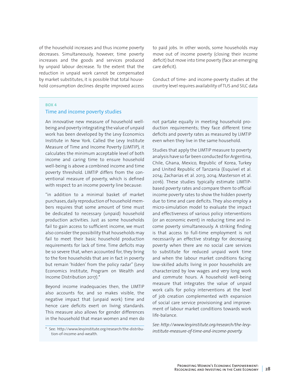of the household increases and thus income poverty decreases. Simultaneously, however, time poverty increases and the goods and services produced by unpaid labour decrease. To the extent that the reduction in unpaid work cannot be compensated by market substitutes, it is possible that total household consumption declines despite improved access to paid jobs. In other words, some households may move out of income poverty (closing their income deficit) but move into time poverty (face an emerging care deficit).

Conduct of time- and income-poverty studies at the country level requires availability of TUS and SILC data

#### **BOX 4**

#### Time and income poverty studies

An innovative new measure of household wellbeing and poverty integrating the value of unpaid work has been developed by the Levy Economics Institute in New York. Called the Levy Institute Measure of Time and Income Poverty (LIMTIP), it calculates the minimum acceptable level of both income and caring time to ensure household well-being is above a combined income and time poverty threshold. LIMTIP differs from the conventional measure of poverty, which is defined with respect to an income poverty line because:

"in addition to a minimal basket of market purchases, daily reproduction of household members requires that some amount of time must be dedicated to necessary (unpaid) household production activities. Just as some households fail to gain access to sufficient income, we must also consider the possibility that households may fail to meet their basic household production requirements for lack of time. Time deficits may be so severe that, when accounted for, they bring to the fore households that are in fact in poverty but remain 'hidden' from the policy radar" (Levy Economics Institute, Program on Wealth and Income Distribution 2017).\*

Beyond income inadequacies then, the LIMTIP also accounts for, and so makes visible, the negative impact that (unpaid work) time and hence care deficits exert on living standards. This measure also allows for gender differences in the household that mean women and men do

not partake equally in meeting household production requirements; they face different time deficits and poverty rates as measured by LIMTIP even when they live in the same household.

Studies that apply the LIMTIP measure to poverty analysis have so far been conducted for Argentina, Chile, Ghana, Mexico, Republic of Korea, Turkey and United Republic of Tanzania (Esquivel et al. 2014; Zacharias et al. 2013, 2014; Masterson et al. 2016). These studies typically estimate LIMTIPbased poverty rates and compare them to official income poverty rates to show the hidden poverty due to time and care deficits. They also employ a micro-simulation model to evaluate the impact and effectiveness of various policy interventions (or an economic event) in reducing time and income poverty simultaneously. A striking finding is that access to full-time employment is not necessarily an effective strategy for decreasing poverty when there are no social care services to substitute for reduced unpaid work time and when the labour market conditions facing low-skilled adults living in poor households are characterized by low wages and very long work and commute hours. A household well-being measure that integrates the value of unpaid work calls for policy interventions at the level of job creation complemented with expansion of social care service provisioning and improvement of labour market conditions towards work life-balance.

*See: [http://www.levyinstitute.org/research/the-levy](http://www.levyinstitute.org/research/the-levy-institute-measure-of-time-and-income-poverty)[institute-measure-of-time-and-income-poverty](http://www.levyinstitute.org/research/the-levy-institute-measure-of-time-and-income-poverty).*

<sup>\*</sup> See: [http://www.levyinstitute.org/research/the-distribu](http://www.levyinstitute.org/research/the-distribution-of-income-and-wealth)[tion-of-income-and-wealth.](http://www.levyinstitute.org/research/the-distribution-of-income-and-wealth)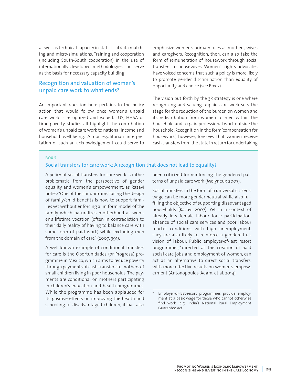as well as technical capacity in statistical data matching and micro-simulations. Training and cooperation (including South-South cooperation) in the use of internationally developed methodologies can serve as the basis for necessary capacity building.

## Recognition and valuation of women's unpaid care work to what ends?

An important question here pertains to the policy action that would follow once women's unpaid care work is recognized and valued. TUS, HHSA or time-poverty studies all highlight the contribution of women's unpaid care work to national income and household well-being. A non-egalitarian interpretation of such an acknowledgement could serve to emphasize women's primary roles as mothers, wives and caregivers. Recognition, then, can also take the form of remuneration of housework through social transfers to housewives. Women's rights advocates have voiced concerns that such a policy is more likely to promote gender discrimination than equality of opportunity and choice (see Box 5).

The vision put forth by the 3R strategy is one where recognizing and valuing unpaid care work sets the stage for the reduction of the burden on women and its redistribution from women to men within the household and to paid professional work outside the household. Recognition in the form 'compensation for housework', however, foresees that women receive cash transfers from the state in return for undertaking

#### **BOX 5**

#### Social transfers for care work: A recognition that does not lead to equality?

A policy of social transfers for care work is rather problematic from the perspective of gender equality and women's empowerment, as Razavi notes: "One of the conundrums facing the design of family/child benefits is how to support families yet without enforcing a uniform model of the family which naturalizes motherhood as women's lifetime vocation (often in contradiction to their daily reality of having to balance care with some form of paid work) while excluding men from the domain of care" (2007: 391).

A well-known example of conditional transfers for care is the Oportunidades (or Progresa) programme in Mexico, which aims to reduce poverty through payments of cash transfers to mothers of small children living in poor households. The payments are conditional on mothers participating in children's education and health programmes. While the programme has been applauded for its positive effects on improving the health and schooling of disadvantaged children, it has also

been criticized for reinforcing the gendered patterns of unpaid care work (Molyneux 2007).

Social transfers in the form of a universal citizen's wage can be more gender neutral while also fulfilling the objective of supporting disadvantaged households (Razavi 2007). Yet in a context of already low female labour force participation, absence of social care services and poor labour market conditions with high unemployment, they are also likely to reinforce a gendered division of labour. Public employer-of-last resort programmes,\* directed at the creation of paid social care jobs and employment of women, can act as an alternative to direct social transfers, with more effective results on women's empowerment (Antonopoulos, Adam, et al. 2014).

Employer-of-last-resort programmes provide employment at a basic wage for those who cannot otherwise find work—e.g., India's National Rural Employment Guarantee Act.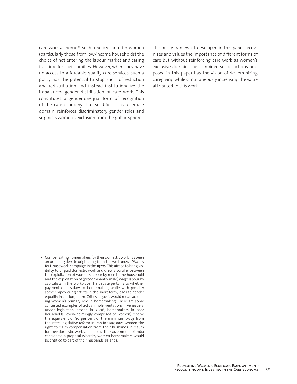care work at home.<sup>17</sup> Such a policy can offer women (particularly those from low-income households) the choice of not entering the labour market and caring full-time for their families. However, when they have no access to affordable quality care services, such a policy has the potential to stop short of reduction and redistribution and instead institutionalize the imbalanced gender distribution of care work. This constitutes a gender-unequal form of recognition of the care economy that solidifies it as a female domain, reinforces discriminatory gender roles and supports women's exclusion from the public sphere.

The policy framework developed in this paper recognizes and values the importance of different forms of care but without reinforcing care work as women's exclusive domain. The combined set of actions proposed in this paper has the vision of de-feminizing caregiving while simultaneously increasing the value attributed to this work.

<sup>17</sup> Compensating homemakers for their domestic work has been an on-going debate originating from the well-known 'Wages for Housework' campaign in the 1970s. This aimed to bring visibility to unpaid domestic work and drew a parallel between the exploitation of women's labour by men in the household and the exploitation of (predominantly male) wage labour by capitalists in the workplace The debate pertains to whether payment of a salary to homemakers, while with possibly some empowering effects in the short term, leads to gender equality in the long term. Critics argue it would mean accepting women's primary role in homemaking. There are some contested examples of actual implementation: In Venezuela, under legislation passed in 2006, homemakers in poor households (overwhelmingly comprised of women) receive the equivalent of 80 per cent of the minimum wage from the state; legislative reform in Iran in 1993 gave women the right to claim compensation from their husbands in return for their domestic work; and in 2012, the Government of India considered a proposal whereby women homemakers would be entitled to part of their husbands' salaries.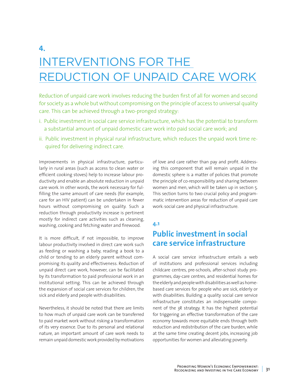# **4.**  INTERVENTIONS FOR THE REDUCTION OF UNPAID CARE WORK

Reduction of unpaid care work involves reducing the burden first of all for women and second for society as a whole but without compromising on the principle of access to universal quality care. This can be achieved through a two-pronged strategy:

- i. Public investment in social care service infrastructure, which has the potential to transform a substantial amount of unpaid domestic care work into paid social care work; and
- ii. Public investment in physical rural infrastructure, which reduces the unpaid work time required for delivering indirect care.

Improvements in physical infrastructure, particularly in rural areas (such as access to clean water or efficient cooking stoves) help to increase labour productivity and enable an absolute reduction in unpaid care work. In other words, the work necessary for fulfilling the same amount of care needs (for example, care for an HIV patient) can be undertaken in fewer hours without compromising on quality. Such a reduction through productivity increase is pertinent mostly for indirect care activities such as cleaning, washing, cooking and fetching water and firewood.

It is more difficult, if not impossible, to improve labour productivity involved in direct care work such as feeding or washing a baby, reading a book to a child or tending to an elderly parent without compromising its quality and effectiveness. Reduction of unpaid direct care work, however, can be facilitated by its transformation to paid professional work in an institutional setting. This can be achieved through the expansion of social care services for children, the sick and elderly and people with disabilities.

Nevertheless, it should be noted that there are limits to how much of unpaid care work can be transferred to paid market work without risking a transformation of its very essence. Due to its personal and relational nature, an important amount of care work needs to remain unpaid domestic work provided by motivations

of love and care rather than pay and profit. Addressing this component that will remain unpaid in the domestic sphere is a matter of policies that promote the principle of co-responsibility and sharing between women and men, which will be taken up in section 5. This section turns to two crucial policy and programmatic intervention areas for reduction of unpaid care work: social care and physical infrastructure.

#### **4.1**

# **Public investment in social care service infrastructure**

A social care service infrastructure entails a web of institutions and professional services including childcare centres, pre-schools, after-school study programmes, day-care centres, and residential homes for the elderly and people with disabilities as well as homebased care services for people who are sick, elderly or with disabilities. Building a quality social care service infrastructure constitutes an indispensable component of the 3R strategy. It has the highest potential for triggering an effective transformation of the care economy towards more equitable ends through both reduction and redistribution of the care burden, while at the same time creating decent jobs, increasing job opportunities for women and alleviating poverty.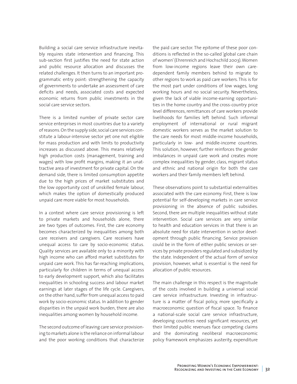Building a social care service infrastructure inevitably requires state intervention and financing. This sub-section first justifies the need for state action and public resource allocation and discusses the related challenges. It then turns to an important programmatic entry point: strengthening the capacity of governments to undertake an assessment of care deficits and needs, associated costs and expected economic returns from public investments in the social care service sectors.

There is a limited number of private sector care service enterprises in most countries due to a variety of reasons. On the supply side, social care services constitute a labour-intensive sector yet one not eligible for mass production and with limits to productivity increases as discussed above. This means relatively high production costs (management, training and wages) with low profit margins, making it an unattractive area of investment for private capital. On the demand side, there is limited consumption appetite due to the high prices of market substitutes and the low opportunity cost of unskilled female labour, which makes the option of domestically produced unpaid care more viable for most households.

In a context where care service provisioning is left to private markets and households alone, there are two types of outcomes. First, the care economy becomes characterized by inequalities among both care receivers and caregivers. Care receivers have unequal access to care by socio-economic status. Quality services are available only to a minority with high income who can afford market substitutes for unpaid care work. This has far-reaching implications, particularly for children in terms of unequal access to early development support, which also facilitates inequalities in schooling success and labour market earnings at later stages of the life cycle. Caregivers, on the other hand, suffer from unequal access to paid work by socio-economic status. In addition to gender disparities in the unpaid work burden, there are also inequalities among women by household income.

The second outcome of leaving care service provisioning to markets alone is the reliance on informal labour and the poor working conditions that characterize

the paid care sector. The epitome of these poor conditions is reflected in the so-called 'global care chain of women' (Ehrenreich and Hochschild 2003). Women from low-income regions leave their own caredependent family members behind to migrate to other regions to work as paid care workers. This is for the most part under conditions of low wages, long working hours and no social security. Nevertheless, given the lack of viable income-earning opportunities in the home country and the cross-country price level differences, remittances of care workers provide livelihoods for families left behind. Such informal employment of international or rural migrant domestic workers serves as the market solution to the care needs for most middle-income households, particularly in low- and middle-income countries. This solution, however, further reinforces the gender imbalances in unpaid care work and creates more complex inequalities by gender, class, migrant status and ethnic and national origin for both the care workers and their family members left behind.

These observations point to substantial externalities associated with the care economy. First, there is low potential for self-developing markets in care service provisioning in the absence of public subsidies. Second, there are multiple inequalities without state intervention. Social care services are very similar to health and education services in that there is an absolute need for state intervention in sector development through public financing. Service provision could be in the form of either public services or services by private providers regulated and subsidized by the state. Independent of the actual form of service provision, however, what is essential is the need for allocation of public resources.

The main challenge in this respect is the magnitude of the costs involved in building a universal social care service infrastructure. Investing in infrastructure is a matter of fiscal policy, more specifically a macroeconomic question of fiscal space. To finance a national-scale social care service infrastructure, developing countries need significant resources, yet their limited public revenues face competing claims and the dominating neoliberal macroeconomic policy framework emphasizes austerity, expenditure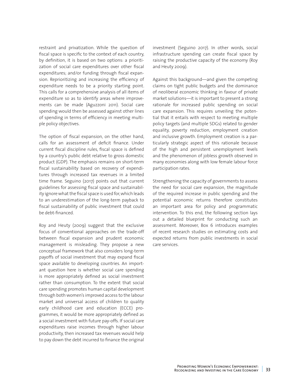restraint and privatization. While the question of fiscal space is specific to the context of each country, by definition, it is based on two options: a prioritization of social care expenditures over other fiscal expenditures; and/or funding through fiscal expansion. Reprioritizing and increasing the efficiency of expenditure needs to be a priority starting point. This calls for a comprehensive analysis of all items of expenditure so as to identify areas where improvements can be made (Aguzzoni 2011). Social care spending would then be assessed against other lines of spending in terms of efficiency in meeting multiple policy objectives.

The option of fiscal expansion, on the other hand, calls for an assessment of deficit finance. Under current fiscal discipline rules, fiscal space is defined by a country's public debt relative to gross domestic product (GDP). The emphasis remains on short-term fiscal sustainability based on recovery of expenditures through increased tax revenues in a limited time frame. Seguino (2017) points out that current guidelines for assessing fiscal space and sustainability ignore what the fiscal space is used for, which leads to an underestimation of the long-term payback to fiscal sustainability of public investment that could be debt-financed.

Roy and Heuty (2009) suggest that the exclusive focus of conventional approaches on the trade-off between fiscal expansion and prudent economic management is misleading. They propose a new conceptual framework that also considers long-term payoffs of social investment that may expand fiscal space available to developing countries. An important question here is whether social care spending is more appropriately defined as social investment rather than consumption. To the extent that social care spending promotes human capital development through both women's improved access to the labour market and universal access of children to quality early childhood care and education (ECCE) programmes, it would be more appropriately defined as a social investment with future pay-offs. If social care expenditures raise incomes through higher labour productivity, then increased tax revenues would help to pay down the debt incurred to finance the original

investment (Seguino 2017). In other words, social infrastructure spending can create fiscal space by raising the productive capacity of the economy (Roy and Heuty 2009).

Against this background—and given the competing claims on tight public budgets and the dominance of neoliberal economic thinking in favour of private market solutions—it is important to present a strong rationale for increased public spending on social care expansion. This requires unveiling the potential that it entails with respect to meeting multiple policy targets (and multiple SDGs) related to gender equality, poverty reduction, employment creation and inclusive growth. Employment creation is a particularly strategic aspect of this rationale because of the high and persistent unemployment levels and the phenomenon of jobless growth observed in many economies along with low female labour force participation rates.

Strengthening the capacity of governments to assess the need for social care expansion, the magnitude of the required increase in public spending and the potential economic returns therefore constitutes an important area for policy and programmatic intervention. To this end, the following section lays out a detailed blueprint for conducting such an assessment. Moreover, Box 6 introduces examples of recent research studies on estimating costs and expected returns from public investments in social care services.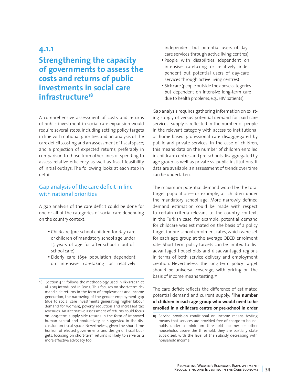# **4.1.1**

# **Strengthening the capacity of governments to assess the costs and returns of public investments in social care infrastructure18**

A comprehensive assessment of costs and returns of public investment in social care expansion would require several steps, including setting policy targets in line with national priorities and an analysis of the care deficit; costing and an assessment of fiscal space; and a projection of expected returns, preferably in comparison to those from other lines of spending to assess relative efficiency as well as fiscal feasibility of initial outlays. The following looks at each step in detail.

## Gap analysis of the care deficit in line with national priorities

A gap analysis of the care deficit could be done for one or all of the categories of social care depending on the country context:

- Childcare (pre-school children for day care or children of mandatory school age under 15 years of age for after-school / out-ofschool care)
- Elderly care (65+ population dependent on intensive caretaking or relatively

independent but potential users of daycare services through active living centres)

- People with disabilities (dependent on intensive caretaking or relatively independent but potential users of day-care services through active living centres)
- Sick care (people outside the above categories but dependent on intensive long-term care due to health problems, e.g., HIV patients).

Gap analysis requires gathering information on existing supply of versus potential demand for paid care services. Supply is reflected in the number of people in the relevant category with access to institutional or home-based professional care disaggregated by public and private services. In the case of children, this means data on the number of children enrolled in childcare centres and pre-schools disaggregated by age group as well as private vs. public institutions. If data are available, an assessment of trends over time can be undertaken.

The maximum potential demand would be the total target population—for example, all children under the mandatory school age. More narrowly defined demand estimation could be made with respect to certain criteria relevant to the country context. In the Turkish case, for example, potential demand for childcare was estimated on the basis of a policy target for pre-school enrolment rates, which were set for each age group at the average OECD enrolment rate. Short-term policy targets can be limited to disadvantaged households and disadvantaged regions in terms of both service delivery and employment creation. Nevertheless, the long-term policy target should be universal coverage, with pricing on the basis of income means testing.19

The care deficit reflects the difference of estimated potential demand and current supply: **'The number of children in each age group who would need to be enrolled in a childcare centre or pre-school in order** 

<sup>18</sup> Section 4.1.1 follows the methodology used in Ilkkaracan et al. 2015 introduced in Box 5. This focuses on short-term demand side returns in the form of employment and income generation, the narrowing of the gender employment gap (due to social care investments generating higher labour demand for women), poverty reduction and increased tax revenues. An alternative assessment of returns could focus on long-term supply side returns in the form of improved human capital and productivity, as suggested in the discussion on fiscal space. Nevertheless, given the short time horizon of elected governments and design of fiscal budgets, focusing on short-term returns is likely to serve as a more effective advocacy tool.

<sup>19</sup> Service provision conditional on income means testing means that services are provided free-of-charge to households under a minimum threshold income; for other households above the threshold, they are partially state subsidized, with the level of the subsidy decreasing with household income.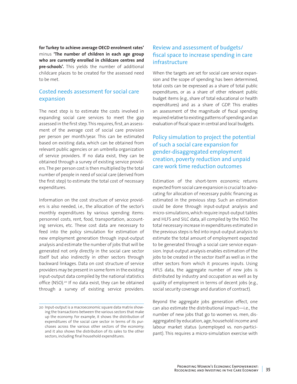**for Turkey to achieve average OECD enrolment rates'** minus **'The number of children in each age group who are currently enrolled in childcare centres and pre-schools'.** This yields the number of additional childcare places to be created for the assessed need to be met.

## Costed needs assessment for social care expansion

The next step is to estimate the costs involved in expanding social care services to meet the gap assessed in the first step. This requires, first, an assessment of the average cost of social care provision per person per month/year. This can be estimated based on existing data, which can be obtained from relevant public agencies or an umbrella organization of service providers. If no data exist, they can be obtained through a survey of existing service providers. The per person cost is then multiplied by the total number of people in need of social care (derived from the first step) to estimate the total cost of necessary expenditures.

Information on the cost structure of service providers is also needed, i.e., the allocation of the sector's monthly expenditures by various spending items: personnel costs, rent, food, transportation, accounting services, etc. These cost data are necessary to feed into the policy simulation for estimation of new employment generation through input-output analysis and estimate the number of jobs that will be generated not only directly in the social care sector itself but also indirectly in other sectors through backward linkages. Data on cost structure of service providers may be present in some form in the existing input-output data compiled by the national statistics office (NSO).<sup>20</sup> If no data exist, they can be obtained through a survey of existing service providers.

# Review and assessment of budgets/ fiscal space to increase spending in care infrastructure

When the targets are set for social care service expansion and the scope of spending has been determined, total costs can be expressed as a share of total public expenditures, or as a share of other relevant public budget items (e.g., share of total educational or health expenditures) and as a share of GDP. This enables an assessment of the magnitude of fiscal spending required relative to existing patterns of spending and an evaluation of fiscal space in central and local budgets.

# Policy simulation to project the potential of such a social care expansion for gender-disaggregated employment creation, poverty reduction and unpaid care work time reduction outcomes

Estimation of the short-term economic returns expected from social care expansion is crucial to advocating for allocation of necessary public financing as estimated in the previous step. Such an estimation could be done through input-output analysis and micro-simulations, which require input-output tables and HLFS and SILC data, all compiled by the NSO. The total necessary increase in expenditures estimated in the previous steps is fed into input-output analysis to estimate the total amount of employment expected to be generated through a social care service expansion. Input-output analysis enables estimation of the jobs to be created in the sector itself as well as in the other sectors from which it procures inputs. Using HFLS data, the aggregate number of new jobs is distributed by industry and occupation as well as by quality of employment in terms of decent jobs (e.g., social security coverage and duration of contract).

Beyond the aggregate jobs generation effect, one can also estimate the distributional impact—i.e., the number of new jobs that go to women vs. men, disaggregated by education, age, household income and labour market status (unemployed vs. non-participant). This requires a micro-simulation exercise with

<sup>20</sup> Input-output is a macroeconomic square data matrix showing the transactions between the various sectors that make up the economy. For example, it shows the distribution of expenditures of the social care sector in terms of its purchases across the various other sectors of the economy; and it also shows the distribution of its sales to the other sectors, including final household expenditures.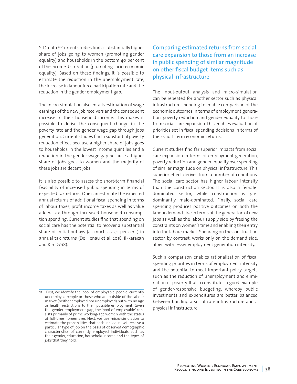SILC data.<sup>21</sup> Current studies find a substantially higher share of jobs going to women (promoting gender equality) and households in the bottom 40 per cent of the income distribution (promoting socio-economic equality). Based on these findings, it is possible to estimate the reduction in the unemployment rate, the increase in labour force participation rate and the reduction in the gender employment gap.

The micro-simulation also entails estimation of wage earnings of the new job receivers and the consequent increase in their household income. This makes it possible to derive the consequent change in the poverty rate and the gender wage gap through jobs generation. Current studies find a substantial poverty reduction effect because a higher share of jobs goes to households in the lowest income quintiles and a reduction in the gender wage gap because a higher share of jobs goes to women and the majority of these jobs are decent jobs.

It is also possible to assess the short-term financial feasibility of increased public spending in terms of expected tax returns. One can estimate the expected annual returns of additional fiscal spending in terms of labour taxes, profit income taxes as well as value added tax through increased household consumption spending. Current studies find that spending on social care has the potential to recover a substantial share of initial outlays (as much as 50 per cent) in annual tax returns (De Henau et al. 2018; Ilkkaracan and Kim 2018).

# Comparing estimated returns from social care expansion to those from an increase in public spending of similar magnitude on other fiscal budget items such as physical infrastructure

The input-output analysis and micro-simulation can be repeated for another sector such as physical infrastructure spending to enable comparison of the economic outcomes in terms of employment generation, poverty reduction and gender equality to those from social care expansion. This enables evaluation of priorities set in fiscal spending decisions in terms of their short-term economic returns.

Current studies find far superior impacts from social care expansion in terms of employment generation, poverty reduction and gender equality over spending of similar magnitude on physical infrastructure. This superior effect derives from a number of conditions. The social care sector has higher labour intensity than the construction sector. It is also a femaledominated sector, while construction is predominantly male-dominated. Finally, social care spending produces positive outcomes on both the labour demand side in terms of the generation of new jobs as well as the labour supply side by freeing the constraints on women's time and enabling their entry into the labour market. Spending on the construction sector, by contrast, works only on the demand side, albeit with lesser employment generation intensity.

Such a comparison enables rationalization of fiscal spending priorities in terms of employment intensity and the potential to meet important policy targets such as the reduction of unemployment and elimination of poverty. It also constitutes a good example of gender-responsive budgeting, whereby public investments and expenditures are better balanced between building a social care infrastructure and a physical infrastructure.

<sup>21</sup> First, we identify the 'pool of employable' people: currently unemployed people or those who are outside of the labour market (neither employed nor unemployed) but with no age or health restrictions to their possible employment. Given the gender employment gap, the 'pool of employable' consists primarily of prime working-age women with the status of full-time homemaker. Next, we use micro-simulation to estimate the probabilities that each individual will receive a particular type of job on the basis of observed demographic characteristics of currently employed individuals such as their gender, education, household income and the types of jobs that they hold.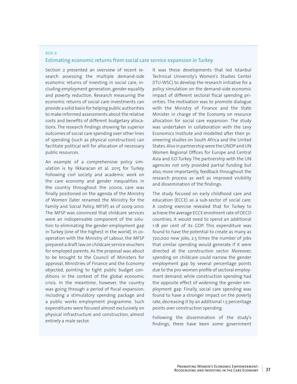### **BOX 6**  Estimating economic returns from social care service expansion in Turkey

Section 2 presented an overview of recent research assessing the multiple demand-side economic returns of investing in social care, including employment generation, gender equality and poverty reduction. Research measuring the economic returns of social care investments can provide a solid basis for helping public authorities to make informed assessments about the relative costs and benefits of different budgetary allocations. The research findings showing far superior outcomes of social care spending over other lines of spending (such as physical construction) can facilitate political will for allocation of necessary public resources.

An example of a comprehensive policy simulation is by Ilkkaracan et al. 2015 for Turkey. Following civil society and academic work on the care economy and gender inequalities in the country throughout the 2000s, care was finally positioned on the agenda of the Ministry of Women (later renamed the Ministry for the Family and Social Policy, MFSP) as of 2009-2010. The MFSP was convinced that childcare services were an indispensable component of the solution to eliminating the gender employment gap in Turkey (one of the highest in the world). In cooperation with the Ministry of Labour, the MFSP prepared a draft law on childcare service vouchers for employed parents. As the proposal was about to be brought to the Council of Ministers for approval, Ministries of Finance and the Economy objected, pointing to tight public budget conditions in the context of the global economic crisis. In the meantime, however, the country was going through a period of fiscal expansion, including a stimulatory spending package and a public works employment programme. Such expenditures were focused almost exclusively on physical infrastructure and construction, almost entirely a male sector.

It was these developments that led Istanbul Technical University's Women's Studies Center (ITU-WSC) to develop the research initiative for a policy simulation on the demand-side economic impact of different sectoral fiscal spending priorities. The motivation was to promote dialogue with the Ministry of Finance and the State Minister in charge of the Economy on resource allocation for social care expansion. The study was undertaken in collaboration with the Levy Economics Institute and modelled after their pioneering studies on South Africa and the United States. Also in partnership were the UNDP and UN Women Regional Offices for Europe and Central Asia and ILO Turkey. The partnership with the UN agencies not only provided partial funding but also, more importantly, feedback throughout the research process as well as improved visibility and dissemination of the findings.

The study focused on early childhood care and education (ECCE) as a sub-sector of social care. A costing exercise revealed that for Turkey to achieve the average ECCE enrolment rate of OECD countries, it would need to spend an additional 1.18 per cent of its GDP. This expenditure was found to have the potential to create as many as 720,000 new jobs, 2.5 times the number of jobs that similar spending would generate if it were directed at the construction sector. Moreover, spending on childcare could narrow the gender employment gap by several percentage points due to the pro-women profile of sectoral employment demand, while construction spending had the opposite effect of widening the gender employment gap. Finally, social care spending was found to have a stronger impact on the poverty rate, decreasing it by an additional 1.5 percentage points over construction spending.

Following the dissemination of the study's findings, there have been some government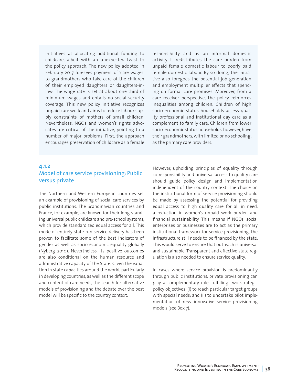initiatives at allocating additional funding to childcare, albeit with an unexpected twist to the policy approach. The new policy adopted in February 2017 foresees payment of 'care wages' to grandmothers who take care of the children of their employed daughters or daughters-inlaw. The wage rate is set at about one third of minimum wages and entails no social security coverage. This new policy initiative recognizes unpaid care work and aims to reduce labour supply constraints of mothers of small children. Nevertheless, NGOs and women's rights advocates are critical of the initiative, pointing to a number of major problems. First, the approach encourages preservation of childcare as a female

responsibility and as an informal domestic activity. It redistributes the care burden from unpaid female domestic labour to poorly paid female domestic labour. By so doing, the initiative also foregoes the potential job generation and employment multiplier effects that spending on formal care promises. Moreover, from a care receiver perspective, the policy reinforces inequalities among children. Children of high socio-economic status households access quality professional and institutional day care as a complement to family care. Children from lower socio-economic status households, however, have their grandmothers, with limited or no schooling, as the primary care providers.

## **4.1.2**  Model of care service provisioning: Public versus private

The Northern and Western European countries set an example of provisioning of social care services by public institutions. The Scandinavian countries and France, for example, are known for their long-standing universal public childcare and pre-school systems, which provide standardized equal access for all. This mode of entirely state-run service delivery has been proven to facilitate some of the best indicators of gender as well as socio-economic equality globally (Nyberg 2010). Nevertheless, its positive outcomes are also conditional on the human resource and administrative capacity of the State. Given the variation in state capacities around the world, particularly in developing countries, as well as the different scope and content of care needs, the search for alternative models of provisioning and the debate over the best model will be specific to the country context.

However, upholding principles of equality through co-responsibility and universal access to quality care should guide policy design and implementation independent of the country context. The choice on the institutional form of service provisioning should be made by assessing the potential for providing equal access to high quality care for all in need, a reduction in women's unpaid work burden and financial sustainability. This means if NGOs, social enterprises or businesses are to act as the primary institutional framework for service provisioning, the infrastructure still needs to be financed by the state. This would serve to ensure that outreach is universal and sustainable. Transparent and effective state regulation is also needed to ensure service quality.

In cases where service provision is predominantly through public institutions, private provisioning can play a complementary role, fulfilling two strategic policy objectives: (i) to reach particular target groups with special needs; and (ii) to undertake pilot implementation of new innovative service provisioning models (see Box 7).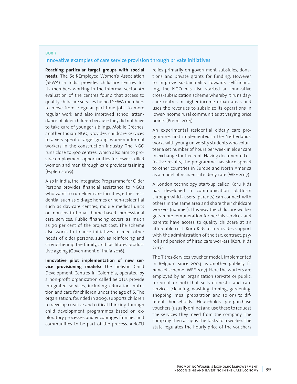### **BOX 7**  Innovative examples of care service provision through private initiatives

**Reaching particular target groups with special needs:** The Self-Employed Women's Association (SEWA) in India provides childcare centres for its members working in the informal sector. An evaluation of the centres found that access to quality childcare services helped SEWA members to move from irregular part-time jobs to more regular work and also improved school attendance of older children because they did not have to take care of younger siblings. Mobile Crèches, another Indian NGO, provides childcare services to a very specific target group: women informal workers in the construction industry. The NGO runs close to 400 centres, which also aim to provide employment opportunities for lower-skilled women and men through care provider training (Esplen 2009).

Also in India, the Integrated Programme for Older Persons provides financial assistance to NGOs who want to run elder-care facilities, either residential such as old-age homes or non-residential such as day-care centres, mobile medical units or non-institutional home-based professional care services. Public financing covers as much as 90 per cent of the project cost. The scheme also works to finance initiatives to meet other needs of older persons, such as reinforcing and strengthening the family, and facilitates productive ageing (Government of India 2016).

**Innovative pilot implementation of new service provisioning models:** The holistic Child Development Centres in Colombia, operated by a non-profit organization called aeioTU, provide integrated services, including education, nutrition and care for children under the age of 6. The organization, founded in 2009, supports children to develop creative and critical thinking through child development programmes based on exploratory processes and encourages families and communities to be part of the process. AeioTU

relies primarily on government subsidies, donations and private grants for funding. However, to improve sustainability towards self-financing, the NGO has also started an innovative cross-subsidization scheme whereby it runs daycare centres in higher-income urban areas and uses the revenues to subsidize its operations in lower-income rural communities at varying price points (Premji 2014).

An experimental residential elderly care programme, first implemented in the Netherlands, works with young university students who volunteer a set number of hours per week in elder care in exchange for free rent. Having documented effective results, the programme has since spread to other countries in Europe and North America as a model of residential elderly care (WEF 2017).

A London technology start-up called Koru Kids has developed a communication platform through which users (parents) can connect with others in the same area and share their childcare workers (nannies). This way the childcare worker gets more remuneration for her/his services and parents have access to quality childcare at an affordable cost. Koru Kids also provides support with the administration of the tax, contract, payroll and pension of hired care workers (Koru Kids 2017).

The Titres-Services voucher model, implemented in Belgium since 2004, is another publicly financed scheme (WEF 2017). Here the workers are employed by an organization (private or public, for-profit or not) that sells domestic and care services (cleaning, washing, ironing, gardening, shopping, meal preparation and so on) to different households. Households pre-purchase vouchers (usually online) and use these to request the services they need from the company. The company then assigns the tasks to a worker. The state regulates the hourly price of the vouchers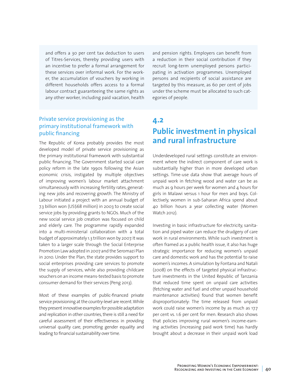and offers a 30 per cent tax deduction to users of Titres-Services, thereby providing users with an incentive to prefer a formal arrangement for these services over informal work. For the worker, the accumulation of vouchers by working in different households offers access to a formal labour contract guaranteeing the same rights as any other worker, including paid vacation, health

# Private service provisioning as the primary institutional framework with public financing

The Republic of Korea probably provides the most developed model of private service provisioning as the primary institutional framework with substantial public financing. The Government started social care policy reform in the late 1990s following the Asian economic crisis, instigated by multiple objectives of improving women's labour market attachment simultaneously with increasing fertility rates, generating new jobs and recovering growth. The Ministry of Labour initiated a project with an annual budget of 7.3 billion won (US\$68 million) in 2003 to create social service jobs by providing grants to NGOs. Much of the new social service job creation was focused on child and elderly care. The programme rapidly expanded into a multi-ministerial collaboration with a total budget of approximately 1.3 trillion won by 2007. It was taken to a larger scale through the Social Enterprise Promotion Law adopted in 2007 and the Seromazi Plan in 2010. Under the Plan, the state provides support to social enterprises providing care services to promote the supply of services, while also providing childcare vouchers on an income means-tested basis to promote consumer demand for their services (Peng 2013).

Most of these examples of public-financed private service provisioning at the country-level are recent. While they present innovative examples for possible adaptation and replication in other countries, there is still a need for careful assessment of their effectiveness in providing universal quality care, promoting gender equality and leading to financial sustainability over time.

and pension rights. Employers can benefit from a reduction in their social contribution if they recruit long-term unemployed persons participating in activation programmes. Unemployed persons and recipients of social assistance are targeted by this measure, as 60 per cent of jobs under the scheme must be allocated to such categories of people.

# **4.2 Public investment in physical and rural infrastructure**

Underdeveloped rural settings constitute an environment where the indirect component of care work is substantially higher than in more developed urban settings. Time-use data show that average hours of unpaid work in fetching wood and water can be as much as 9 hours per week for women and 4 hours for girls in Malawi versus 1 hour for men and boys. Collectively, women in sub-Saharan Africa spend about 40 billion hours a year collecting water (Women Watch 2012).

Investing in basic infrastructure for electricity, sanitation and piped water can reduce the drudgery of care work in rural environments. While such investment is often framed as a public health issue, it also has huge strategic importance for reducing women's unpaid care and domestic work and has the potential to raise women's incomes. A simulation by Fontana and Natali (2008) on the effects of targeted physical infrastructure investments in the United Republic of Tanzania that reduced time spent on unpaid care activities (fetching water and fuel and other unpaid household maintenance activities) found that women benefit disproportionately: The time released from unpaid work could raise women's income by as much as 17.7 per cent vs. 1.6 per cent for men. Research also shows that policies improving rural women's income-earning activities (increasing paid work time) has hardly brought about a decrease in their unpaid work load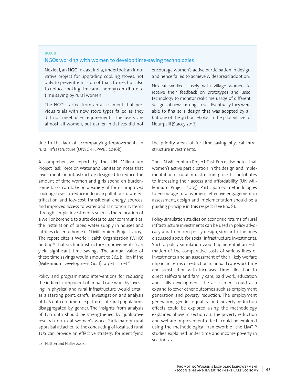### **BOX 8** NGOs working with women to develop time-saving technologies

Nexleaf, an NGO in east India, undertook an innovative project for upgrading cooking stoves, not only to prevent emission of toxic fumes but also to reduce cooking time and thereby contribute to time saving by rural women.

The NGO started from an assessment that previous trials with new stove types failed as they did not meet user requirements. The users are almost all women, but earlier initiatives did not

due to the lack of accompanying improvements in rural infrastructure (UNSG-HLPWEE 2016b).

A comprehensive report by the UN Millennium Project Task Force on Water and Sanitation notes that investments in infrastructure designed to reduce the amount of time women and girls spend on burdensome tasks can take on a variety of forms: improved cooking stoves to reduce indoor air pollution; rural electrification and low-cost transitional energy sources; and improved access to water and sanitation systems through simple investments such as the relocation of a well or borehole to a site closer to user communities, the installation of piped water supply in houses and latrines closer to home (UN Millennium Project 2005). The report cites a World Health Organization (WHO) finding<sup>22</sup> that such infrastructure improvements "can yield significant time savings. The annual value of these time savings would amount to \$64 billion if the [Millennium Development Goal] target is met."

Policy and programmatic interventions for reducing the indirect component of unpaid care work by investing in physical and rural infrastructure would entail, as a starting point, careful investigation and analysis of TUS data on time-use patterns of rural populations disaggregated by gender. The insights from analysis of TUS data should be strengthened by qualitative research on rural women's work. Participatory rural appraisal attached to the conducting of localized rural TUS can provide an effective strategy for identifying encourage women's active participation in design and hence failed to achieve widespread adoption.

Nexleaf worked closely with village women to receive their feedback on prototypes and used technology to monitor real-time usage of different designs of new cooking stoves. Eventually they were able to finalize a design that was adopted by all but one of the 36 households in the pilot village of Notarpalli (Stacey 2016).

the priority areas of for time-saving physical infrastructure investments.

The UN Millennium Project Task Force also notes that women's active participation in the design and implementation of rural infrastructure projects contributes to increasing their access and affordability (UN Millennium Project 2005). Participatory methodologies to encourage rural women's effective engagement in assessment, design and implementation should be a guiding principle in this respect (see Box 8).

Policy simulation studies on economic returns of rural infrastructure investments can be used in policy advocacy and to inform policy design, similar to the ones discussed above for social infrastructure investments. Such a policy simulation would again entail an estimation of the comparative costs of various lines of investments and an assessment of their likely welfare impact in terms of reduction in unpaid care work time and substitution with increased time allocation to direct self-care and family care, paid work, education and skills development. The assessment could also expand to cover other outcomes such as employment generation and poverty reduction. The employment generation, gender equality and poverty reduction effects could be explored using the methodology explained above in section 4.1. The poverty reduction and welfare improvement effects could be explored using the methodological framework of the LIMTIP studies explained under time and income poverty in section 3.3.

<sup>22</sup> Hatton and Haller 2004.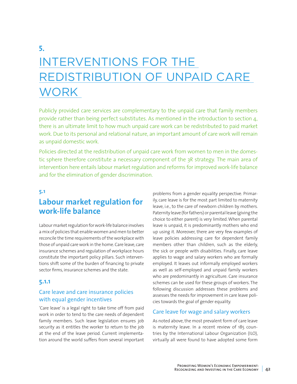# **5.**  INTERVENTIONS FOR THE REDISTRIBUTION OF UNPAID CARE **WORK**

Publicly provided care services are complementary to the unpaid care that family members provide rather than being perfect substitutes. As mentioned in the introduction to section 4, there is an ultimate limit to how much unpaid care work can be redistributed to paid market work. Due to its personal and relational nature, an important amount of care work will remain as unpaid domestic work.

Policies directed at the redistribution of unpaid care work from women to men in the domestic sphere therefore constitute a necessary component of the 3R strategy. The main area of intervention here entails labour market regulation and reforms for improved work-life balance and for the elimination of gender discrimination.

## **5.1**

# **Labour market regulation for work-life balance**

Labour market regulation for work-life balance involves a mix of policies that enable women and men to better reconcile the time requirements of the workplace with those of unpaid care work in the home. Care leave, care insurance schemes and regulation of workplace hours constitute the important policy pillars. Such interventions shift some of the burden of financing to private sector firms, insurance schemes and the state.

### **5.1.1**

## Care leave and care insurance policies with equal gender incentives

'Care leave' is a legal right to take time off from paid work in order to tend to the care needs of dependent family members. Such leave legislation ensures job security as it entitles the worker to return to the job at the end of the leave period. Current implementation around the world suffers from several important problems from a gender equality perspective. Primarily, care leave is for the most part limited to maternity leave, i.e., to the care of newborn children by mothers. Paternity leave (for fathers) or parental leave (giving the choice to either parent) is very limited. When parental leave is unpaid, it is predominantly mothers who end up using it. Moreover, there are very few examples of leave policies addressing care for dependent family members other than children, such as the elderly, the sick or people with disabilities. Finally, care leave applies to wage and salary workers who are formally employed. It leaves out informally employed workers as well as self-employed and unpaid family workers who are predominantly in agriculture. Care insurance schemes can be used for these groups of workers. The following discussion addresses these problems and assesses the needs for improvement in care leave policies towards the goal of gender equality.

### Care leave for wage and salary workers

As noted above, the most prevalent form of care leave is maternity leave. In a recent review of 185 countries by the International Labour Organization (ILO), virtually all were found to have adopted some form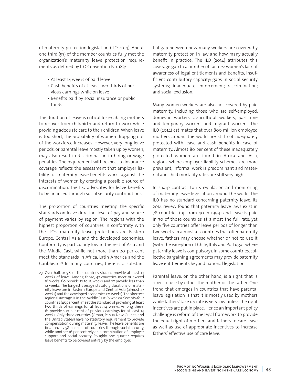of maternity protection legislation (ILO 2014). About one third (57) of the member countries fully met the organization's maternity leave protection requirements as defined by ILO Convention No. 183:

- At least 14 weeks of paid leave
- Cash benefits of at least two thirds of previous earnings while on leave
- Benefits paid by social insurance or public funds.

The duration of leave is critical for enabling mothers to recover from childbirth and return to work while providing adequate care to their children. When leave is too short, the probability of women dropping out of the workforce increases. However, very long leave periods, or parental leave mostly taken up by women, may also result in discrimination in hiring or wage penalties. The requirement with respect to insurance coverage reflects the assessment that employer liability for maternity leave benefits works against the interests of women by creating a possible source of discrimination. The ILO advocates for leave benefits to be financed through social security contributions.

The proportion of countries meeting the specific standards on leave duration, level of pay and source of payment varies by region. The regions with the highest proportion of countries in conformity with the ILO's maternity leave protections are Eastern Europe, Central Asia and the developed economies. Conformity is particularly low in the rest of Asia and the Middle East, while not more than 20 per cent meet the standards in Africa, Latin America and the Caribbean.23 In many countries, there is a substantial gap between how many workers are covered by maternity protection in law and how many actually benefit in practice. The ILO (2014) attributes this coverage gap to a number of factors: women's lack of awareness of legal entitlements and benefits; insufficient contributory capacity; gaps in social security systems; inadequate enforcement; discrimination; and social exclusion.

Many women workers are also not covered by paid maternity, including those who are self-employed, domestic workers, agricultural workers, part-time and temporary workers and migrant workers. The ILO (2014) estimates that over 800 million employed mothers around the world are still not adequately protected with leave and cash benefits in case of maternity. Almost 80 per cent of these inadequately protected women are found in Africa and Asia, regions where employer liability schemes are more prevalent, informal work is predominant and maternal and child mortality rates are still very high.

In sharp contrast to its regulation and monitoring of maternity leave legislation around the world, the ILO has no standard concerning paternity leave. Its 2014 review found that paternity leave laws exist in 78 countries (up from 40 in 1994) and leave is paid in 70 of those countries at almost the full rate, yet only five countries offer leave periods of longer than two weeks. In almost all countries that offer paternity leave, fathers may choose whether or not to use it (with the exception of Chile, Italy and Portugal, where paternity leave is compulsory). In some countries, collective bargaining agreements may provide paternity leave entitlements beyond national legislation.

Parental leave, on the other hand, is a right that is open to use by either the mother or the father. One trend that emerges in countries that have parental leave legislation is that it is mostly used by mothers while fathers' take up rate is very low unless the right incentives are put in place. Hence an important policy challenge is reform of the legal framework to provide the equal right of mothers and fathers to care leave as well as use of appropriate incentives to increase fathers' effective use of care leave.

<sup>23</sup> Over half, or 98, of the countries studied provide at least 14 weeks of leave. Among those, 42 countries meet or exceed 18 weeks, 60 provide 12 to 13 weeks and 27 provide less than 12 weeks. The longest average statutory durations of maternity leave are in Eastern Europe and Central Asia (almost 27 weeks) and the developed economies (21 weeks). The shortest regional average is in the Middle East (9 weeks). Seventy-four countries (45 per cent) meet the standard of providing at least two thirds of earnings for at least 14 weeks. Among these, 61 provide 100 per cent of previous earnings for at least 14 weeks. Only three countries (Oman, Papua New Guinea and the United States) have no statutory requirement to provide compensation during maternity leave. The leave benefits are financed by 58 per cent of countries through social security, while another 16 per cent rely on a combination of employer support and social security. Roughly one quarter requires leave benefits to be covered entirely by the employer.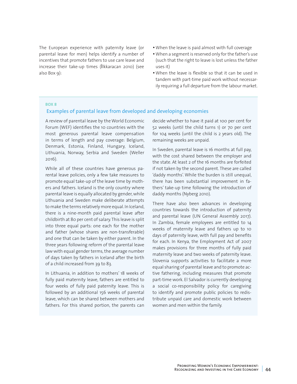The European experience with paternity leave (or parental leave for men) helps identify a number of incentives that promote fathers to use care leave and increase their take-up times (İlkkaracan 2010) (see also Box 9):

- When the leave is paid almost with full coverage
- When a segment is reserved only for the father's use (such that the right to leave is lost unless the father uses it)
- When the leave is flexible so that it can be used in tandem with part-time paid work without necessarily requiring a full departure from the labour market.

#### **BOX 8**

#### Examples of parental leave from developed and developing economies

A review of parental leave by the World Economic Forum (WEF) identifies the 10 countries with the most generous parental leave compensation in terms of length and pay coverage: Belgium, Denmark, Estonia, Finland, Hungary, Iceland, Lithuania, Norway, Serbia and Sweden (Weller 2016).

While all of these countries have generous parental leave policies, only a few take measures to promote equal take-up of the leave time by mothers and fathers. Iceland is the only country where parental leave is equally allocated by gender, while Lithuania and Sweden make deliberate attempts to make the terms relatively more equal. In Iceland, there is a nine-month paid parental leave after childbirth at 80 per cent of salary. This leave is split into three equal parts: one each for the mother and father (whose shares are non-transferable) and one that can be taken by either parent. In the three years following reform of the parental leave law with equal gender terms, the average number of days taken by fathers in Iceland after the birth of a child increased from 39 to 83.

In Lithuania, in addition to mothers' 18 weeks of fully paid maternity leave, fathers are entitled to four weeks of fully paid paternity leave. This is followed by an additional 156 weeks of parental leave, which can be shared between mothers and fathers. For this shared portion, the parents can decide whether to have it paid at 100 per cent for 52 weeks (until the child turns 1) or 70 per cent for 104 weeks (until the child is 2 years old). The remaining weeks are unpaid.

In Sweden, parental leave is 16 months at full pay, with the cost shared between the employer and the state. At least 2 of the 16 months are forfeited if not taken by the second parent. These are called 'daddy months'. While the burden is still unequal, there has been substantial improvement in fathers' take-up time following the introduction of daddy months (Nyberg 2010).

There have also been advances in developing countries towards the introduction of paternity and parental leave (UN General Assembly 2017). In Zambia, female employees are entitled to 14 weeks of maternity leave and fathers up to 10 days of paternity leave, with full pay and benefits for each. In Kenya, the Employment Act of 2007 makes provisions for three months of fully paid maternity leave and two weeks of paternity leave. Slovenia supports activities to facilitate a more equal sharing of parental leave and to promote active fathering, including measures that promote part-time work. El Salvador is currently developing a social co-responsibility policy for caregiving to identify and promote public policies to redistribute unpaid care and domestic work between women and men within the family.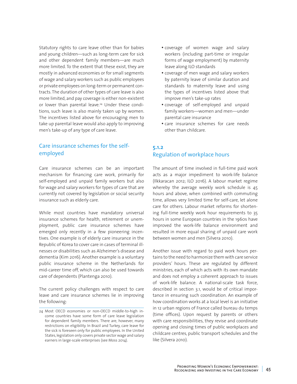Statutory rights to care leave other than for babies and young children—such as long-term care for sick and other dependent family members—are much more limited. To the extent that these exist, they are mostly in advanced economies or for small segments of wage and salary workers such as public employees or private employees on long-term or permanent contracts. The duration of other types of care leave is also more limited, and pay coverage is either non-existent or lower than parental leave.<sup>24</sup> Under these conditions, such leave is also mainly taken up by women. The incentives listed above for encouraging men to take up parental leave would also apply to improving men's take-up of any type of care leave.

# Care insurance schemes for the selfemployed

Care insurance schemes can be an important mechanism for financing care work, primarily for self-employed and unpaid family workers but also for wage and salary workers for types of care that are currently not covered by legislation or social security insurance such as elderly care.

While most countries have mandatory universal insurance schemes for health, retirement or unemployment, public care insurance schemes have emerged only recently in a few pioneering incentives. One example is of elderly care insurance in the Republic of Korea to cover care in cases of terminal illnesses or disabilities such as Alzheimer's disease and dementia (Kim 2016). Another example is a voluntary public insurance scheme in the Netherlands for mid-career time off, which can also be used towards care of dependents (Plantenga 2010).

The current policy challenges with respect to care leave and care insurance schemes lie in improving the following:

- coverage of women wage and salary workers (including part-time or irregular forms of wage employment) by maternity leave along ILO standards
- coverage of men wage and salary workers by paternity leave of similar duration and standards to maternity leave and using the types of incentives listed above that improve men's take-up rates
- coverage of self-employed and unpaid family workers—women and men—under parental care insurance
- care insurance schemes for care needs other than childcare.

## **5.1.2**  Regulation of workplace hours

The amount of time involved in full-time paid work acts as a major impediment to work-life balance (Ilkkaracan 2012; ILO 2016). A labour market regime whereby the average weekly work schedule is 45 hours and above, when combined with commuting time, allows very limited time for self-care, let alone care for others. Labour market reforms for shortening full-time weekly work hour requirements to 35 hours in some European countries in the 1960s have improved the work-life balance environment and resulted in more equal sharing of unpaid care work between women and men (Silvera 2010).

Another issue with regard to paid work hours pertains to the need to harmonize them with care service providers' hours. These are regulated by different ministries, each of which acts with its own mandate and does not employ a coherent approach to issues of work-life balance. A national-scale task force, described in section 3.1, would be of critical importance in ensuring such coordination. An example of how coordination works at a local level is an initiative in 12 urban regions of France called bureau du temps (time offices). Upon request by parents or others with care responsibilities, they revise and coordinate opening and closing times of public workplaces and childcare centres, public transport schedules and the like (Silvera 2010).

<sup>24</sup> Most OECD economies or non-OECD middle-to-high income countries have some form of care leave legislation for dependent family members. There are, however, many restrictions on eligibility. In Brazil and Turkey, care leave for the sick is foreseen only for public employees. In the United States, legislation only covers private sector wage and salary earners in large-scale enterprises (see Moss 2014).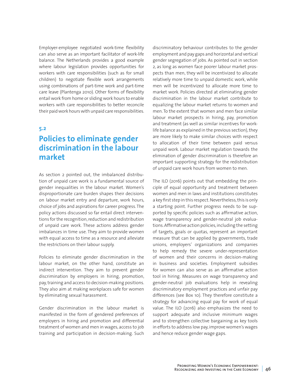Employer-employee negotiated work-time flexibility can also serve as an important facilitator of work-life balance. The Netherlands provides a good example where labour legislation provides opportunities for workers with care responsibilities (such as for small children) to negotiate flexible work arrangements using combinations of part-time work and part-time care leave (Plantenga 2010). Other forms of flexibility entail work from home or sliding work hours to enable workers with care responsibilities to better reconcile their paid work hours with unpaid care responsibilities.

#### **5.2**

# **Policies to eliminate gender discrimination in the labour market**

As section 2 pointed out, the imbalanced distribution of unpaid care work is a fundamental source of gender inequalities in the labour market. Women's disproportionate care burden shapes their decisions on labour market entry and departure, work hours, choice of jobs and aspirations for career progress. The policy actions discussed so far entail direct interventions for the recognition, reduction and redistribution of unpaid care work. These actions address gender imbalances in time use. They aim to provide women with equal access to time as a resource and alleviate the restrictions on their labour supply.

Policies to eliminate gender discrimination in the labour market, on the other hand, constitute an indirect intervention. They aim to prevent gender discrimination by employers in hiring, promotion, pay, training and access to decision-making positions. They also aim at making workplaces safe for women by eliminating sexual harassment.

Gender discrimination in the labour market is manifested in the form of gendered preferences of employers in hiring and promotion and differential treatment of women and men in wages, access to job training and participation in decision-making. Such

discriminatory behaviour contributes to the gender employment and pay gaps and horizontal and vertical gender segregation of jobs. As pointed out in section 2, as long as women face poorer labour market prospects than men, they will be incentivized to allocate relatively more time to unpaid domestic work, while men will be incentivized to allocate more time to market work. Policies directed at eliminating gender discrimination in the labour market contribute to equalizing the labour market returns to women and men. To the extent that women and men face similar labour market prospects in hiring, pay, promotion and treatment (as well as similar incentives for worklife balance as explained in the previous section), they are more likely to make similar choices with respect to allocation of their time between paid versus unpaid work. Labour market regulation towards the elimination of gender discrimination is therefore an important supporting strategy for the redistribution of unpaid care work hours from women to men.

The ILO (2016) points out that embedding the principle of equal opportunity and treatment between women and men in laws and institutions constitutes a key first step in this respect. Nevertheless, this is only a starting point. Further progress needs to be supported by specific policies such as affirmative action, wage transparency and gender-neutral job evaluations. Affirmative action policies, including the setting of targets, goals or quotas, represent an important measure that can be applied by governments, trade unions, employers' organizations and companies to help remedy the severe under-representation of women and their concerns in decision-making in business and societies. Employment subsidies for women can also serve as an affirmative action tool in hiring. Measures on wage transparency and gender-neutral job evaluations help in revealing discriminatory employment practices and unfair pay differences (see Box 10). They therefore constitute a strategy for advancing equal pay for work of equal value. The ILO (2016) also emphasizes the need to support adequate and inclusive minimum wages and to strengthen collective bargaining as key tools in efforts to address low pay, improve women's wages and hence reduce gender wage gaps.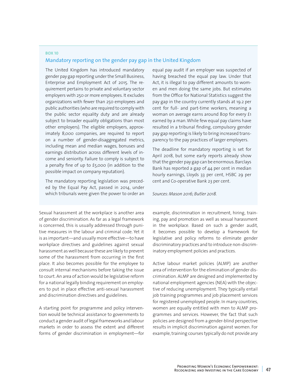## **BOX 10**  Mandatory reporting on the gender pay gap in the United Kingdom

The United Kingdom has introduced mandatory gender pay gap reporting under the Small Business, Enterprise and Employment Act of 2015. The requirement pertains to private and voluntary sector employers with 250 or more employees. It excludes organizations with fewer than 250 employees and public authorities (who are required to comply with the public sector equality duty and are already subject to broader equality obligations than most other employers). The eligible employers, approximately 8,000 companies, are required to report on a number of gender-disaggregated metrics, including mean and median wages, bonuses and earnings distribution across different levels of income and seniority. Failure to comply is subject to a penalty fine of up to £5,000 (in addition to the possible impact on company reputation).

The mandatory reporting legislation was preceded by the Equal Pay Act, passed in 2014, under which tribunals were given the power to order an

Sexual harassment at the workplace is another area of gender discrimination. As far as a legal framework is concerned, this is usually addressed through punitive measures in the labour and criminal code. Yet it is as important—and usually more effective—to have workplace directives and guidelines against sexual harassment as well because these are likely to prevent some of the harassment from occurring in the first place. It also becomes possible for the employee to consult internal mechanisms before taking the issue to court. An area of action would be legislative reform for a national legally binding requirement on employers to put in place effective anti-sexual harassment and discrimination directives and guidelines.

A starting point for programme and policy intervention would be technical assistance to governments to conduct a gender audit of legal frameworks and labour markets in order to assess the extent and different forms of gender discrimination in employment—for

equal pay audit if an employer was suspected of having breached the equal pay law. Under that Act, it is illegal to pay different amounts to women and men doing the same jobs. But estimates from the Office for National Statistics suggest the pay gap in the country currently stands at 19.2 per cent for full- and part-time workers, meaning a woman on average earns around 80p for every £1 earned by a man. While few equal pay claims have resulted in a tribunal finding, compulsory gender pay gap reporting is likely to bring increased transparency to the pay practices of larger employers.

The deadline for mandatory reporting is set for April 2018, but some early reports already show that the gender pay gap can be enormous. Barclays Bank has reported a gap of 44 per cent in median hourly earnings, Lloyds 33 per cent, HSBC 29 per cent and Co-operative Bank 23 per cent.

*Sources: Mason 2016; Butler 2018.*

example, discrimination in recruitment, hiring, training, pay and promotion as well as sexual harassment in the workplace. Based on such a gender audit, it becomes possible to develop a framework for legislative and policy reforms to eliminate gender discriminatory practices and to introduce non-discriminatory employment policies and practices.

Active labour market policies (ALMP) are another area of intervention for the elimination of gender discrimination. ALMP are designed and implemented by national employment agencies (NEA) with the objective of reducing unemployment. They typically entail job training programmes and job placement services for registered unemployed people. In many countries, women are equally entitled with men to ALMP programmes and services. However, the fact that such policies are designed from a gender-blind perspective results in implicit discrimination against women. For example, training courses typically do not provide any

> Promoting Women's Economic Empowerment: Recognizing and Investing in the Care Economy **47**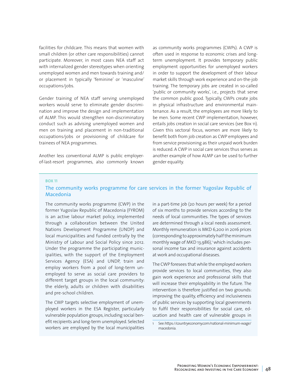facilities for childcare. This means that women with small children (or other care responsibilities) cannot participate. Moreover, in most cases NEA staff act with internalized gender stereotypes when orienting unemployed women and men towards training and/ or placement in typically 'feminine' or 'masculine' occupations/jobs.

Gender training of NEA staff serving unemployed workers would serve to eliminate gender discrimination and improve the design and implementation of ALMP. This would strengthen non-discriminatory conduct such as advising unemployed women and men on training and placement in non-traditional occupations/jobs or provisioning of childcare for trainees of NEA programmes.

Another less conventional ALMP is public employerof-last-resort programmes, also commonly known as community works programmes (CWPs). A CWP is often used in response to economic crises and longterm unemployment. It provides temporary public employment opportunities for unemployed workers in order to support the development of their labour market skills through work experience and on-the-job training. The temporary jobs are created in so-called 'public or community works', i.e., projects that serve the common public good. Typically, CWPs create jobs in physical infrastructure and environmental maintenance. As a result, the employees are more likely to be men. Some recent CWP implementation, however, entails jobs creation in social care services (see Box 11). Given this sectoral focus, women are more likely to benefit both from job creation as CWP employees and from service provisioning as their unpaid work burden is reduced. A CWP in social care services thus serves as another example of how ALMP can be used to further gender equality.

#### **BOX 11**

#### The community works programme for care services in the former Yugoslav Republic of Macedonia

The community works programme (CWP) in the former Yugoslav Republic of Macedonia (FYROM) is an active labour market policy, implemented through a collaboration between the United Nations Development Programme (UNDP) and local municipalities and funded centrally by the Ministry of Labour and Social Policy since 2012. Under the programme the participating municipalities, with the support of the Employment Services Agency (ESA) and UNDP, train and employ workers from a pool of long-term unemployed to serve as social care providers to different target groups in the local community: the elderly, adults or children with disabilities and pre-school children.

The CWP targets selective employment of unemployed workers in the ESA Register, particularly vulnerable population groups, including social benefit recipients and long-term unemployed. Selected workers are employed by the local municipalities in a part-time job (20 hours per week) for a period of six months to provide services according to the needs of local communities. The types of services are determined through a local needs assessment. Monthly remuneration is MKD 6,200 in 2016 prices (corresponding to approximately half the minimum monthly wage of MKD 13,986),<sup>1</sup> which includes personal income tax and insurance against accidents at work and occupational diseases.

The CWP foresees that while the employed workers provide services to local communities, they also gain work experience and professional skills that will increase their employability in the future. The intervention is therefore justified on two grounds: improving the quality, efficiency and inclusiveness of public services by supporting local governments to fulfil their responsibilities for social care, education and health care of vulnerable groups in

<sup>1</sup> See: https://countryeconomy.com/national-minimum-wage/ macedonia.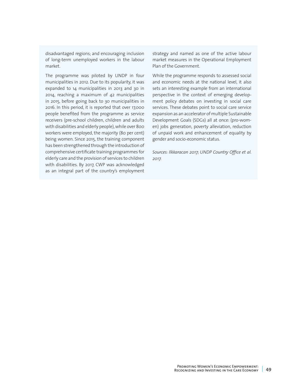disadvantaged regions; and encouraging inclusion of long-term unemployed workers in the labour market.

The programme was piloted by UNDP in four municipalities in 2012. Due to its popularity, it was expanded to 14 municipalities in 2013 and 30 in 2014, reaching a maximum of 42 municipalities in 2015, before going back to 30 municipalities in 2016. In this period, it is reported that over 17,000 people benefited from the programme as service receivers (pre-school children, children and adults with disabilities and elderly people), while over 800 workers were employed, the majority (80 per cent) being women. Since 2015, the training component has been strengthened through the introduction of comprehensive certificate training programmes for elderly care and the provision of services to children with disabilities. By 2017, CWP was acknowledged as an integral part of the country's employment

strategy and named as one of the active labour market measures in the Operational Employment Plan of the Government.

While the programme responds to assessed social and economic needs at the national level, it also sets an interesting example from an international perspective in the context of emerging development policy debates on investing in social care services. These debates point to social care service expansion as an accelerator of multiple Sustainable Development Goals (SDGs) all at once: (pro-women) jobs generation, poverty alleviation, reduction of unpaid work and enhancement of equality by gender and socio-economic status.

*Sources: Ilkkaracan 2017; UNDP Country Office et al. 2017.*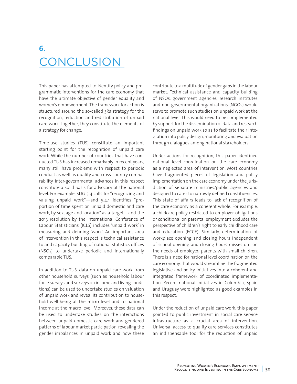# **6. CONCLUSION**

This paper has attempted to identify policy and programmatic interventions for the care economy that have the ultimate objective of gender equality and women's empowerment. The framework for action is structured around the so-called 3Rs strategy for the recognition, reduction and redistribution of unpaid care work. Together, they constitute the elements of a strategy for change.

Time-use studies (TUS) constitute an important starting point for the recognition of unpaid care work. While the number of countries that have conducted TUS has increased remarkably in recent years, many still have problems with respect to periodic conduct as well as quality and cross-country comparability. Inter-governmental advances in this respect constitute a solid basis for advocacy at the national level. For example, SDG 5.4 calls for "recognizing and valuing unpaid work"—and 5.4.1 identifies "proportion of time spent on unpaid domestic and care work, by sex, age and location" as a target—and the 2013 resolution by the International Conference of Labour Statisticians (ICLS) includes 'unpaid work' in measuring and defining 'work'. An important area of intervention in this respect is technical assistance to and capacity building of national statistics offices (NSOs) to undertake periodic and internationally comparable TUS.

In addition to TUS, data on unpaid care work from other household surveys (such as household labour force surveys and surveys on income and living conditions) can be used to undertake studies on valuation of unpaid work and reveal its contribution to household well-being at the micro level and to national income at the macro level. Moreover, these data can be used to undertake studies on the interactions between unpaid domestic care work and gendered patterns of labour market participation, revealing the gender imbalances in unpaid work and how these contribute to a multitude of gender gaps in the labour market. Technical assistance and capacity building of NSOs, government agencies, research institutes and non-governmental organizations (NGOs) would serve to promote such studies on unpaid work at the national level. This would need to be complemented by support for the dissemination of data and research findings on unpaid work so as to facilitate their integration into policy design, monitoring and evaluation through dialogues among national stakeholders.

Under actions for recognition, this paper identified national level coordination on the care economy as a neglected area of intervention. Most countries have fragmented pieces of legislation and policy implementation on the care economy under the jurisdiction of separate ministries/public agencies and designed to cater to narrowly defined constituencies. This state of affairs leads to lack of recognition of the care economy as a coherent whole. For example, a childcare policy restricted to employer obligations or conditional on parental employment excludes the perspective of children's right to early childhood care and education (ECCE). Similarly, determination of workplace opening and closing hours independent of school opening and closing hours misses out on the needs of employed parents with small children. There is a need for national level coordination on the care economy, that would streamline the fragmented legislative and policy initiatives into a coherent and integrated framework of coordinated implementation. Recent national initiatives in Columbia, Spain and Uruguay were highlighted as good examples in this respect.

Under the reduction of unpaid care work, this paper pointed to public investment in social care service infrastructure as a crucial area of intervention. Universal access to quality care services constitutes an indispensable tool for the reduction of unpaid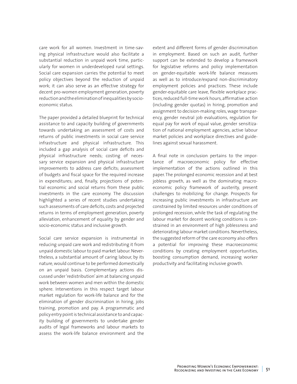care work for all women. Investment in time-saving physical infrastructure would also facilitate a substantial reduction in unpaid work time, particularly for women in underdeveloped rural settings. Social care expansion carries the potential to meet policy objectives beyond the reduction of unpaid work; it can also serve as an effective strategy for decent pro-women employment generation, poverty reduction and the elimination of inequalities by socioeconomic status.

The paper provided a detailed blueprint for technical assistance to and capacity building of governments towards undertaking an assessment of costs and returns of public investments in social care service infrastructure and physical infrastructure. This included a gap analysis of social care deficits and physical infrastructure needs; costing of necessary service expansion and physical infrastructure improvements to address care deficits; assessment of budgets and fiscal space for the required increase in expenditures; and, finally, projections of potential economic and social returns from these public investments in the care economy. The discussion highlighted a series of recent studies undertaking such assessments of care deficits, costs and projected returns in terms of employment generation, poverty alleviation, enhancement of equality by gender and socio-economic status and inclusive growth.

Social care service expansion is instrumental in reducing unpaid care work and redistributing it from unpaid domestic labour to paid market labour. Nevertheless, a substantial amount of caring labour, by its nature, would continue to be performed domestically on an unpaid basis. Complementary actions discussed under 'redistribution' aim at balancing unpaid work between women and men within the domestic sphere. Interventions in this respect target labour market regulation for work-life balance and for the elimination of gender discrimination in hiring, jobs training, promotion and pay. A programmatic and policy entry point is technical assistance to and capacity building of governments to undertake gender audits of legal frameworks and labour markets to assess the work-life balance environment and the

extent and different forms of gender discrimination in employment. Based on such an audit, further support can be extended to develop a framework for legislative reforms and policy implementation on gender-equitable work-life balance measures as well as to introduce/expand non-discriminatory employment policies and practices. These include gender-equitable care leave, flexible workplace practices, reduced full-time work hours, affirmative action (including gender quotas) in hiring, promotion and assignment to decision-making roles, wage transparency, gender neutral job evaluations, regulation for equal pay for work of equal value, gender sensitization of national employment agencies, active labour market policies and workplace directives and guidelines against sexual harassment.

A final note in conclusion pertains to the importance of macroeconomic policy for effective implementation of the actions outlined in this paper. The prolonged economic recession and at best jobless growth, as well as the dominating macroeconomic policy framework of austerity, present challenges to mobilizing for change. Prospects for increasing public investments in infrastructure are constrained by limited resources under conditions of prolonged recession, while the task of regulating the labour market for decent working conditions is constrained in an environment of high joblessness and deteriorating labour market conditions. Nevertheless, the suggested reform of the care economy also offers a potential for improving these macroeconomic conditions by creating employment opportunities, boosting consumption demand, increasing worker productivity and facilitating inclusive growth.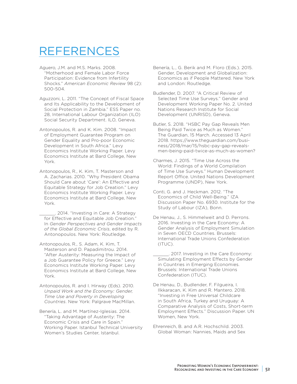# REFERENCES

- Aguero, J.M. and M.S. Marks. 2008. "Motherhood and Female Labor Force Participation: Evidence from Infertility Shocks." *American Economic Review* 98 (2): 500-504.
- Aguzzoni, L. 2011. "The Concept of Fiscal Space and Its Applicability to the Development of Social Protection in Zambia." ESS Paper no. 28, International Labour Organization (ILO) Social Security Department. ILO, Geneva.
- Antonopoulos, R. and K. Kim. 2008. "Impact of Employment Guarantee Program on Gender Equality and Pro-poor Economic Development in South Africa." Levy Economics Institute Working Paper. Levy Economics Institute at Bard College, New York.
- Antonopoulos, R., K. Kim, T. Masterson and A. Zacharias. 2010. "Why President Obama Should Care about 'Care': An Effective and Equitable Strategy for Job Creation." Levy Economics Institute Working Paper. Levy Economics Institute at Bard College, New York.
	- \_\_\_\_\_\_. 2014. "Investing in Care: A Strategy for Effective and Equitable Job Creation." In *Gender Perspectives and Gender Impacts of the Global Economic Crisis*, edited by R. Antonopoulos. New York: Routledge.
- Antonopoulos, R., S. Adam, K. Kim, T. Masterson and D. Papadimitrou. 2014. "After Austerity: Measuring the Impact of a Job Guarantee Policy for Greece." Levy Economics Institute Working Paper. Levy Economics Institute at Bard College, New York.
- Antonopoulos, R. and I. Hirway (Eds). 2010. *Unpaid Work and the Economy: Gender, Time Use and Poverty in Developing Countries*. New York: Palgrave MacMillan.
- Benería, L. and M. Martínez-Iglesias. 2014. "Taking Advantage of Austerity: The Economic Crisis and Care in Spain." Working Paper. Istanbul Technical University Women's Studies Center, Istanbul.
- Benería, L., G. Berik and M. Floro (Eds.). 2015. Gender, Development and Globalization: Economics as if People Mattered. New York and London: Routledge.
- Budlender, D. 2007. "A Critical Review of Selected Time Use Surveys." Gender and Development Working Paper No. 2. United Nations Research Institute for Social Development (UNRISD), Geneva.
- Butler, S. 2018. "HSBC Pay Gap Reveals Men Being Paid Twice as Much as Women." The Guardian, 15 March. Accessed 13 April 2018. [https://www.theguardian.com/busi](https://www.theguardian.com/business/2018/mar/15/hsbc-pay-gap-reveals-men-being-paid-twice-as-much-as-women)[ness/2018/mar/15/hsbc-pay-gap-reveals](https://www.theguardian.com/business/2018/mar/15/hsbc-pay-gap-reveals-men-being-paid-twice-as-much-as-women)[men-being-paid-twice-as-much-as-women?](https://www.theguardian.com/business/2018/mar/15/hsbc-pay-gap-reveals-men-being-paid-twice-as-much-as-women)
- Charmes, J. 2015. "Time Use Across the World: Findings of a World Compilation of Time Use Surveys." Human Development Report Office. United Nations Development Programme (UNDP), New York.
- Conti, G. and J. Heckman. 2012. "The Economics of Child Well-Being." IZA Discussion Paper No. 6930. Institute for the Study of Labour (IZA), Bonn.
- De Henau, J., S. Himmelweit and D. Perrons. 2016. Investing in the Care Economy: A Gender Analysis of Employment Simulation in Seven OECD Countries. Brussels: International Trade Unions Confederation  $(ITUC).$
- \_\_\_\_\_\_. 2017. Investing in the Care Economy: Simulating Employment Effects by Gender in Countries in Emerging Economies. Brussels: International Trade Unions Confederation (ITUC).
- De Henau, D., Budlender, F. Filgueira, I. Ilkkaracan, K. Kim and R. Mantero. 2018. "Investing in Free Universal Childcare in South Africa, Turkey and Uruguay: A Comparative Analysis of Costs, Short-term Employment Effects." Discussion Paper. UN Women, New York.
- Ehrenreich, B. and A.R. Hochschild. 2003. Global Woman: Nannies, Maids and Sex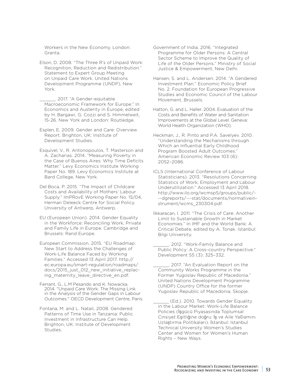Workers in the New Economy. London: Granta.

Elson, D. 2008. "The Three R's of Unpaid Work: Recognition, Reduction and Redistribution." Statement to Expert Group Meeting on Unpaid Care Work. United Nations Development Programme (UNDP), New York.

\_\_\_\_\_\_. 2017. "A Gender-equitable Macroeconomic Framework for Europe." In Economics and Austerity in Europe, edited by H. Bargawi, G. Cozzi and S. Himmelweit, 15-26. New York and London: Routledge.

- Esplen, E. 2009. Gender and Care: Overview Report. Brighton, UK: Institute of Development Studies.
- Esquivel, V., R. Antonopoulos, T. Masterson and A. Zacharias. 2014. "Measuring Poverty in the Case of Buenos Aires: Why Time Deficits Matter." Levy Economics Institute Working Paper No. 189. Levy Economics Institute at Bard College, New York.
- Del Boca, P. 2015. "The Impact of Childcare Costs and Availability of Mothers' Labour Supply." ImPRovE Working Paper No. 15/04, Herman Deleeck Centre for Social Policy. University of Antwerp, Antwerp.
- EU (European Union). 2014. Gender Equality in the Workforce: Reconciling Work, Private and Family Life in Europe. Cambridge and Brussels: Rand Europe.
- European Commission. 2015. "EU Roadmap: New Start to Address the Challenges of Work-Life Balance Faced by Working Families." Accessed 13 April 2017. [http://](http://ec.europa.eu/smart-regulation/roadmaps/docs/2015_just_012_new_initiative_replacing_maternity_leave_directive_en.pdf) [ec.europa.eu/smart-regulation/roadmaps/](http://ec.europa.eu/smart-regulation/roadmaps/docs/2015_just_012_new_initiative_replacing_maternity_leave_directive_en.pdf) docs/2015 just 012 new initiative replacing maternity leave directive en.pdf.
- Ferrant, G., L.M Pesando and K. Nowacka. 2014. "Unpaid Care Work: The Missing Link in the Analysis of the Gender Gaps in Labour Outcomes." OECD Development Centre, Paris.
- Fontana, M. and L. Natali, 2008. Gendered Patterns of Time Use in Tanzania: Public Investment in Infrastructure Can Help. Brighton, UK: Institute of Development Studies.
- Government of India. 2016. "Integrated Programme for Older Persons: A Central Sector Scheme to Improve the Quality of Life of the Older Persons." Ministry of Social Justice & Empowerment, New Delhi.
- Hansen, S. and L. Andersen. 2014. "A Gendered Investment Plan." Economic Policy Brief No. 2. Foundation for European Progressive Studies and Economic Council of the Labour Movement, Brussels.
- Hatton, G. and L. Haller. 2004. Evaluation of the Costs and Benefits of Water and Sanitation Improvements at the Global Level. Geneva: World Health Organization (WHO).
- Heckman, J., R. Pinto and P.A. Savelyev. 2010. "Understanding the Mechanisms through Which an Influential Early Childhood Program Boosted Adult Outcomes." American Economic Review 103 (6): 2052–2086.
- ICLS (International Conference of Labour Statisticians). 2013. "Resolutions Concerning Statistics of Work, Employment and Labour Underutilization." Accessed 13 April 2018. [http://www.ilo.org/wcmsp5/groups/public/-](http://www.ilo.org/wcmsp5/groups/public/---dgreports/---stat/documents/normativeinstrument/wcms_230304.pdf) [--dgreports/---stat/documents/normativein](http://www.ilo.org/wcmsp5/groups/public/---dgreports/---stat/documents/normativeinstrument/wcms_230304.pdf)[strument/wcms\\_230304.pdf](http://www.ilo.org/wcmsp5/groups/public/---dgreports/---stat/documents/normativeinstrument/wcms_230304.pdf).
- Ilkkaracan, I. 2011. "The Crisis of Care: Another Limit to Sustainable Growth in Market Economies." In IMF and the World Bank: A Critical Debate, edited by A. Tonak. Istanbul: Bilgi University.
	- \_\_\_\_\_\_. 2012. "Work-Family Balance and Public Policy: A Cross-country Perspective." Development 55 (3): 325–332.

\_\_\_\_\_\_. 2017. "An Evaluation Report on the Community Works Programme in the Former Yugoslav Republic of Macedonia." United Nations Development Programme (UNDP) Country Office for the former Yugoslav Republic of Macedonia, Skopje.

(Ed.). 2010. Towards Gender Equality in the Labour Market: Work-Life Balance Policies (İşgücü Piyasasında Toplumsal Cinsiyet Eşitliğine doğru: İş ve Aile YaĐamını Uzlaştırma Politikaları). İstanbul: Istanbul Technical University Women's Studies Center and Women for Women's Human Rights – New Ways.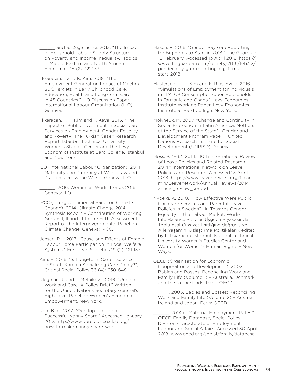and S. Degirmenci. 2013. "The Impact of Household Labour Supply Structure on Poverty and Income Inequality." Topics in Middle Eastern and North African Economies 15 (2): 121-133.

- Ilkkaracan, I. and K. Kim. 2018. "The Employment Generation Impact of Meeting SDG Targets in Early Childhood Care, Education, Health and Long-Term Care in 45 Countries." ILO Discussion Paper. International Labour Organization (ILO), Geneva.
- Ilkkaracan, I., K. Kim and T. Kaya. 2015. "The Impact of Public Investment in Social Care Services on Employment, Gender Equality and Poverty: The Turkish Case." Research Report. Istanbul Technical University Women's Studies Center and the Levy Economics Institute at Bard College, Istanbul and New York.
- ILO (International Labour Organization). 2014. Maternity and Paternity at Work: Law and Practice across the World. Geneva: ILO.
- \_\_\_\_\_\_. 2016. Women at Work: Trends 2016. Geneva: ILO.
- IPCC (Intergovernmental Panel on Climate Change). 2014. Climate Change 2014: Synthesis Report – Contribution of Working Groups I, II and III to the Fifth Assessment Report of the Intergovernmental Panel on Climate Change. Geneva: IPCC.
- Jensen, P.H. 2017. "Cause and Effects of Female Labour Force Participation in Local Welfare Systems." European Societies 19 (2): 121-137.
- Kim, H. 2016. "Is Long-term Care Insurance in South Korea a Socializing Care Policy?", Critical Social Policy 36 (4): 630-648.
- Klugman, J. and T. Melnikova. 2016. "Unpaid Work and Care: A Policy Brief." Written for the United Nations Secretary General's High Level Panel on Women's Economic Empowerment, New York.
- Koru Kids. 2017. "Our Top Tips for a Successful Nanny Share." Accessed January 2017. [http://www.korukids.co.uk/blog/](http://www.korukids.co.uk/blog/how-to-make-nanny-share-work) [how-to-make-nanny-share-work](http://www.korukids.co.uk/blog/how-to-make-nanny-share-work).
- Mason, R. 2016. "Gender Pay Gap Reporting for Big Firms to Start in 2018." The Guardian, 12 February. Accessed 13 April 2018. [https://](https://www.theguardian.com/society/2016/feb/12/gender-pay-gap-reporting-big-firms-start-2018) [www.theguardian.com/society/2016/feb/12/](https://www.theguardian.com/society/2016/feb/12/gender-pay-gap-reporting-big-firms-start-2018) [gender-pay-gap-reporting-big-firms](https://www.theguardian.com/society/2016/feb/12/gender-pay-gap-reporting-big-firms-start-2018)[start-2018](https://www.theguardian.com/society/2016/feb/12/gender-pay-gap-reporting-big-firms-start-2018).
- Masterson, T., K. Kim and F. Rios-Avilla. 2016. "Simulations of Employment for Individuals in LIMTCP Consumption-poor Households in Tanzania and Ghana." Levy Economics Institute Working Paper. Levy Economics Institute at Bard College, New York.
- Molyneux, M. 2007. "Change and Continuity in Social Protection in Latin America: Mothers at the Service of the State?" Gender and Development Program Paper 1. United Nations Research Institute for Social Development (UNRISD), Geneva.
- Moss, P. (Ed.). 2014. "10th International Review of Leave Policies and Related Research 2014." International Network on Leave Policies and Research. Accessed 13 April 2018. [https://www.leavenetwork.org/filead](https://www.leavenetwork.org/fileadmin/Leavenetwork/Annual_reviews/2014_annual_review_korr.pdf)[min/Leavenetwork/Annual\\_reviews/2014\\_](https://www.leavenetwork.org/fileadmin/Leavenetwork/Annual_reviews/2014_annual_review_korr.pdf) annual review korr.pdf.
- Nyberg, A. 2010. "How Effective Were Public Childcare Services and Parental Leave Policies in Sweden?" In Towards Gender Equality in the Labour Market: Work-Life Balance Policies (İşgücü Piyasasında Toplumsal Cinsiyet Eşitliğine doğru: İş ve Aile Yaşamını Uzlaştırma Politikaları), edited by I. Ilkkaracan. Istanbul: Istanbul Technical University Women's Studies Center and Women for Women's Human Rights – New Ways.
- OECD (Organisation for Economic Cooperation and Development). 2002. Babies and Bosses: Reconciling Work and Family Life (Volume 1) – Australia, Denmark and the Netherlands. Paris: OECD.

\_\_\_\_\_\_. 2003. Babies and Bosses: Reconciling Work and Family Life (Volume 2) – Austria, Ireland and Japan. Paris: OECD.

. 2014a. "Maternal Employment Rates." OECD Family Database, Social Policy Division - Directorate of Employment, Labour and Social Affairs. Accessed 30 April 2018. [www.oecd.org/social/family/database](http://www.oecd.org/social/family/database).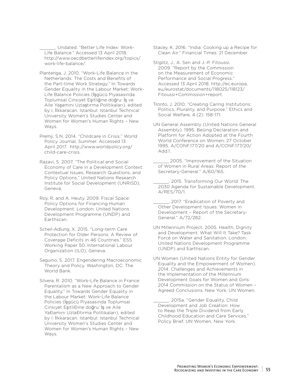Undated. "Better Life Index: Work-Life Balance." Accessed 13 April 2018. [http://www.oecdbetterlifeindex.org/topics/](http://www.oecdbetterlifeindex.org/topics/work-life-balance/) [work-life-balance/.](http://www.oecdbetterlifeindex.org/topics/work-life-balance/)

- Plantenga, J. 2010. "Work-Life Balance in the Netherlands: The Costs and Benefits of the Part-time Work Strategy." In Towards Gender Equality in the Labour Market: Work-Life Balance Policies (İşgücü Piyasasında Toplumsal Cinsiyet Eşitliğine doğru: İş ve Aile Yaşamını Uzlaştırma Politikaları), edited by I. İlkkaracan. Istanbul: Istanbul Technical University Women's Studies Center and Women for Women's Human Rights – New Ways.
- Premji, S.N. 2014. "Childcare in Crisis." World Policy Journal, Summer. Accessed 13 April 2017. [http://www.worldpolicy.org/](http://www.worldpolicy.org/child-care-crisis) [child-care-crisis](http://www.worldpolicy.org/child-care-crisis).

Razavi, S. 2007. "The Political and Social Economy of Care in a Development Context: Contextual Issues, Research Questions, and Policy Options." United Nations Research Institute for Social Development (UNRISD), Geneva.

Roy, R. and A. Heuty. 2009. Fiscal Space: Policy Options for Financing Human Development. London: United Nations Development Programme (UNDP) and Earthscan.

Scheil-Adlung, X. 2015. "Long-term Care Protection for Older Persons: A Review of Coverage Deficits in 46 Countries." ESS Working Paper 50. International Labour Organization (ILO), Geneva.

Seguino, S. 2017. Engendering Macroeconomic Theory and Policy. Washington, DC: The World Bank.

Silvera, R. 2010. "Work-Life Balance in France: Parentalism as a New Approach to Gender Equality." In Towards Gender Equality in the Labour Market: Work-Life Balance Policies (İşgücü Piyasasında Toplumsal Cinsiyet EsitliĐine doğru: İs ve Aile YaĐamını UzlaĐtırma Politikaları), edited by I. İlkkaracan. Istanbul: Istanbul Technical University Women's Studies Center and Women for Women's Human Rights – New Ways.

Stacey, K. 2016. "India: Cooking up a Recipe for Clean Air." Financial Times. 21 December.

Stiglitz, J., A. Sen and J.-P. Fitoussi. 2009. "Report by the Commission on the Measurement of Economic Performance and Social Progress." Accessed 13 April 2018. [http://ec.europa.](http://ec.europa.eu/eurostat/documents/118025/118123/Fitoussi+Commission+report) [eu/eurostat/documents/118025/118123/](http://ec.europa.eu/eurostat/documents/118025/118123/Fitoussi+Commission+report) [Fitoussi+Commission+report.](http://ec.europa.eu/eurostat/documents/118025/118123/Fitoussi+Commission+report)

Tronto, J. 2010. "Creating Caring Institutions: Politics, Plurality, and Purpose." Ethics and Social Welfare, 4 (2): 158-171.

UN General Assembly (United Nations General Assembly). 1995. Beijing Declaration and Platform for Action Adopted at the Fourth World Conference on Women, 27 October 1995. A/CONF.177/20 and A/CONF.177/20/ Add.1.

2005. "Improvement of the Situation of Women in Rural Areas: Report of the Secretary-General." A/60/165.

2015. Transforming Our World: The 2030 Agenda for Sustainable Development. A/RES/70/1.

\_\_\_\_\_\_. 2017. "Eradication of Poverty and Other Development Issues: Women in Development – Report of the Secretary-General." A/72/282.

UN Millennium Project. 2005. Health, Dignity and Development: What Will It Take? Task Force on Water and Sanitation. London: United Nations Development Programme (UNDP) and Earthscan.

UN Women (United Nations Entity for Gender Equality and the Empowerment of Women). 2014. Challenges and Achievements in the Implementation of the Millennium Development Goals for Women and Girls: 2014 Commission on the Status of Women – Agreed Conclusions. New York: UN Women.

\_\_\_\_\_\_. 2015a. "Gender Equality, Child Development and Job Creation: How to Reap the Triple Dividend from Early Childhood Education and Care Services." Policy Brief. UN Women, New York.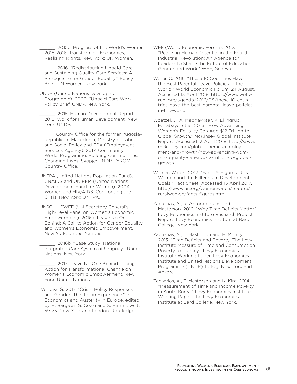2015b. Progress of the World's Women 2015-2016: Transforming Economies, Realizing Rights. New York: UN Women.

2016. "Redistributing Unpaid Care and Sustaining Quality Care Services: A Prerequisite for Gender Equality." Policy Brief. UN Women, New York.

UNDP (United Nations Development Programme). 2009. "Unpaid Care Work." Policy Brief. UNDP, New York.

\_\_\_\_\_\_. 2015. Human Development Report 2015: Work for Human Development. New York: UNDP.

.Country Office for the former Yugoslav Republic of Macedonia, Ministry of Labour and Social Policy and ESA (Employment Services Agency). 2017. Community Works Programme: Building Communities, Changing Lives. Skopje: UNDP FYROM Country Office.

UNFPA (United Nations Population Fund), UNAIDS and UNIFEM (United Nations Development Fund for Women). 2004. Women and HIV/AIDS: Confronting the Crisis. New York: UNFPA.

UNSG-HLPWEE (UN Secretary General's High-Level Panel on Women's Economic Empowerment). 2016a. Leave No One Behind: A Call to Action for Gender Equality and Women's Economic Empowerment. New York: United Nations.

\_\_\_\_\_\_. 2016b. "Case Study: National Integrated Care System of Uruguay." United Nations, New York.

\_\_\_\_\_\_. 2017. Leave No One Behind: Taking Action for Transformational Change on Women's Economic Empowerment. New York: United Nations.

 Vertova, G. 2017. "Crisis, Policy Responses and Gender: The Italian Experience." In Economics and Austerity in Europe, edited by H. Bargawi, G. Cozzi and S. Himmelweit, 59-75. New York and London: Routledge.

WEF (World Economic Forum). 2017. "Realizing Human Potential in the Fourth Industrial Revolution: An Agenda for Leaders to Shape the Future of Education, Gender and Work." WEF, Geneva.

Weller, C. 2016. "These 10 Countries Have the Best Parental Leave Policies in the World." World Economic Forum, 24 August. Accessed 13 April 2018. [https://www.wefo](https://www.weforum.org/agenda/2016/08/these-10-countries-have-the-best-parental-leave-policies-in-the-world)[rum.org/agenda/2016/08/these-10-coun](https://www.weforum.org/agenda/2016/08/these-10-countries-have-the-best-parental-leave-policies-in-the-world)[tries-have-the-best-parental-leave-policies](https://www.weforum.org/agenda/2016/08/these-10-countries-have-the-best-parental-leave-policies-in-the-world)[in-the-world.](https://www.weforum.org/agenda/2016/08/these-10-countries-have-the-best-parental-leave-policies-in-the-world)

Woetzel, J., A. Madgavkaar, K. Ellingrud, E. Labaye, et al. 2015. "How Advancing Women's Equality Can Add \$12 Trillion to Global Growth." McKinsey Global Institute Report. Accessed 13 April 2018. http://www. mckinsey.com/global-themes/employment-and-growth/how-advancing-womens-equality-can-add-12-trillion-to-globalgrowth.

Women Watch. 2012. "Facts & Figures: Rural Women and the Millennium Development Goals." Fact Sheet. Accessed 13 April 2017. http://www.un.org/womenwatch/feature/ ruralwomen/facts-figures.html.

Zacharias, A., R. Antonopoulos and T. Masterson. 2012. "Why Time Deficits Matter." Levy Economics Institute Research Project Report. Levy Economics Institute at Bard College, New York.

Zacharias, A., T. Masterson and E. Memiş. 2013. "Time Deficits and Poverty: The Levy Institute Measure of Time and Consumption Poverty for Turkey." Levy Economics Institute Working Paper. Levy Economics Institute and United Nations Development Programme (UNDP) Turkey, New York and Ankara.

Zacharias, A., T. Masterson and K. Kim. 2014. "Measurement of Time and Income Poverty in South Korea." Levy Economics Institute Working Paper. The Levy Economics Institute at Bard College, New York.